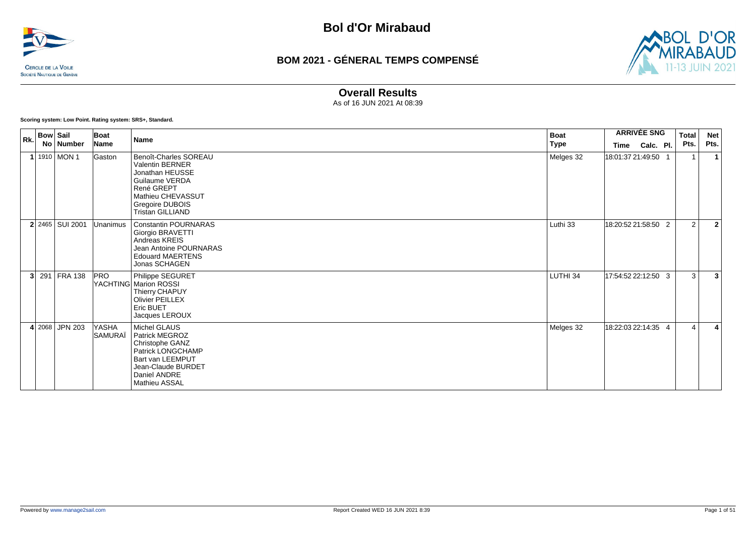



### **Overall Results**

As of 16 JUN 2021 At 08:39

**Scoring system: Low Point. Rating system: SRS+, Standard.**

| Rk. | <b>Bow Sail</b> |                   | Boat<br>Boat<br><b>Name</b> |                                                                                                                                                                       |             |                     | <b>ARRIVÉE SNG</b> |  |                       | <b>Net</b>     |
|-----|-----------------|-------------------|-----------------------------|-----------------------------------------------------------------------------------------------------------------------------------------------------------------------|-------------|---------------------|--------------------|--|-----------------------|----------------|
|     |                 | No   Number       | Name                        |                                                                                                                                                                       | <b>Type</b> | Time                | Calc. Pl.          |  | Pts.                  | Pts.           |
|     |                 | 1910 MON 1        | Gaston                      | Benoît-Charles SOREAU<br><b>Valentin BERNER</b><br>Jonathan HEUSSE<br>Guilaume VERDA<br>René GREPT<br>Mathieu CHEVASSUT<br>Gregoire DUBOIS<br><b>Tristan GILLIAND</b> | Melges 32   | 18:01:37 21:49:50   |                    |  |                       |                |
|     |                 | $2$ 2465 SUI 2001 | Unanimus                    | <b>Constantin POURNARAS</b><br>Giorgio BRAVETTI<br>Andreas KREIS<br><b>Jean Antoine POURNARAS</b><br><b>Edouard MAERTENS</b><br>Jonas SCHAGEN                         | Luthi 33    | 18:20:52 21:58:50 2 |                    |  | 2                     | $\overline{2}$ |
| 3   |                 | 291 FRA 138       | <b>PRO</b>                  | Philippe SEGURET<br>YACHTING Marion ROSSI<br>Thierry CHAPUY<br><b>Olivier PEILLEX</b><br>Eric BUET<br>Jacques LEROUX                                                  | LUTHI 34    | 17:54:52 22:12:50 3 |                    |  | 3                     | $\overline{3}$ |
|     |                 | 4 2068 JPN 203    | YASHA<br>SAMURAÏ            | Michel GLAUS<br>Patrick MEGROZ<br>Christophe GANZ<br>Patrick LONGCHAMP<br>Bart van LEEMPUT<br>Jean-Claude BURDET<br>Daniel ANDRE<br>Mathieu ASSAL                     | Melges 32   | 18:22:03 22:14:35 4 |                    |  | $\boldsymbol{\Delta}$ | 4              |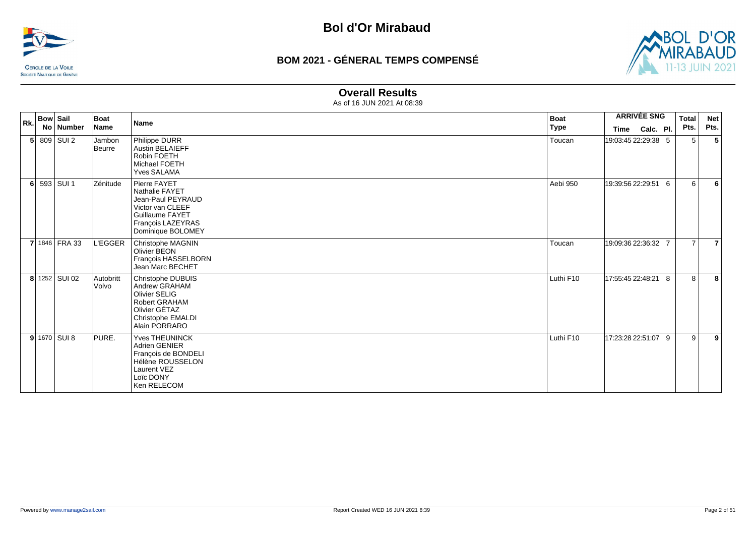



#### **Overall Results**

|  | $\mid$ <sub>Rk.</sub> Bow Sail | Boat               | <b>Name</b>                                                                                                                                 | <b>Boat</b> | <b>ARRIVÉE SNG</b>  |           | <b>Total</b>   | <b>Net</b>     |
|--|--------------------------------|--------------------|---------------------------------------------------------------------------------------------------------------------------------------------|-------------|---------------------|-----------|----------------|----------------|
|  | No Number                      | Name               |                                                                                                                                             | Type        | Time                | Calc. Pl. | Pts.           | Pts.           |
|  | $5$ 809 SUI 2                  | Jambon<br>Beurre   | Philippe DURR<br><b>Austin BELAIEFF</b><br>Robin FOETH<br>Michael FOETH<br><b>Yves SALAMA</b>                                               | Toucan      | 19:03:45 22:29:38 5 |           | 5              | 5              |
|  | 6 593 SUI 1                    | Zénitude           | Pierre FAYET<br>Nathalie FAYET<br>Jean-Paul PEYRAUD<br>Victor van CLEEF<br><b>Guillaume FAYET</b><br>François LAZEYRAS<br>Dominique BOLOMEY | Aebi 950    | 19:39:56 22:29:51 6 |           | 6              | 6              |
|  | 7 1846 FRA 33                  | L'EGGER            | Christophe MAGNIN<br>Olivier BEON<br>Francois HASSELBORN<br>Jean Marc BECHET                                                                | Toucan      | 19:09:36 22:36:32 7 |           | $\overline{7}$ | $\overline{7}$ |
|  | 8 1252 SUI 02                  | Autobritt<br>Volvo | Christophe DUBUIS<br>Andrew GRAHAM<br><b>Olivier SELIG</b><br><b>Robert GRAHAM</b><br>Olivier GÉTAZ<br>Christophe EMALDI<br>Alain PORRARO   | Luthi F10   | 17:55:45 22:48:21 8 |           | 8              | 8              |
|  | $9$ 1670 SUI 8                 | PURE.              | Yves THEUNINCK<br><b>Adrien GENIER</b><br>François de BONDELI<br>Hélène ROUSSELON<br>Laurent VEZ<br>Loïc DONY<br>Ken RELECOM                | Luthi F10   | 17:23:28 22:51:07 9 |           | 9              | 9              |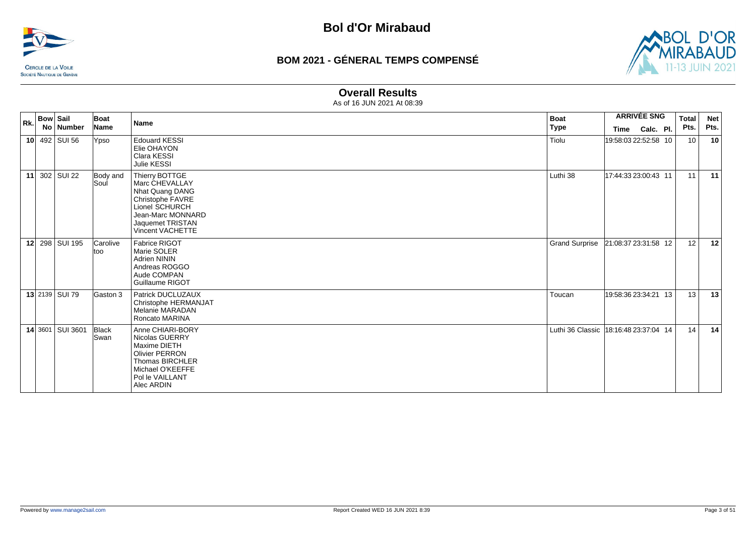



### **Overall Results**

| <b>Bow Sail</b><br>Rk. |  | Boat             | <b>Name</b>          | <b>Boat</b>                                                                                                                                            |                                         | <b>ARRIVÉE SNG</b>   | <b>Total</b> | <b>Net</b>      |      |
|------------------------|--|------------------|----------------------|--------------------------------------------------------------------------------------------------------------------------------------------------------|-----------------------------------------|----------------------|--------------|-----------------|------|
|                        |  | No Number        | Name                 |                                                                                                                                                        | <b>Type</b>                             | Time                 | Calc. Pl.    | Pts.            | Pts. |
|                        |  | 10 492 SUI 56    | Ypso                 | <b>Edouard KESSI</b><br>Elie OHAYON<br>Clara KESSI<br>Julie KESSI                                                                                      | Tiolu                                   | 19:58:03 22:52:58 10 |              | 10 <sup>1</sup> | 10   |
|                        |  | 11 302 SUI 22    | Body and<br>Soul     | Thierry BOTTGE<br>Marc CHEVALLAY<br>Nhat Quang DANG<br>Christophe FAVRE<br>Lionel SCHURCH<br>Jean-Marc MONNARD<br>Jaquemet TRISTAN<br>Vincent VACHETTE | Luthi 38                                | 17:44:33 23:00:43 11 |              | 11              | 11   |
|                        |  | 12 298 SUI 195   | Carolive<br>ltoo     | Fabrice RIGOT<br>Marie SOLER<br>Adrien NININ<br>Andreas ROGGO<br>Aude COMPAN<br>Guillaume RIGOT                                                        | <b>Grand Surprise</b>                   | 21:08:37 23:31:58 12 |              | 12              | 12   |
|                        |  | 13 2139 SUI 79   | Gaston 3             | Patrick DUCLUZAUX<br>Christophe HERMANJAT<br>Melanie MARADAN<br>Roncato MARINA                                                                         | Toucan                                  | 19:58:36 23:34:21 13 |              | 13              | 13   |
|                        |  | 14 3601 SUI 3601 | Black<br><b>Swan</b> | Anne CHIARI-BORY<br>Nicolas GUERRY<br>Maxime DIETH<br><b>Olivier PERRON</b><br>Thomas BIRCHLER<br>Michael O'KEEFFE<br>Pol le VAILLANT<br>Alec ARDIN    | Luthi 36 Classic   18:16:48 23:37:04 14 |                      |              | 14              | 14   |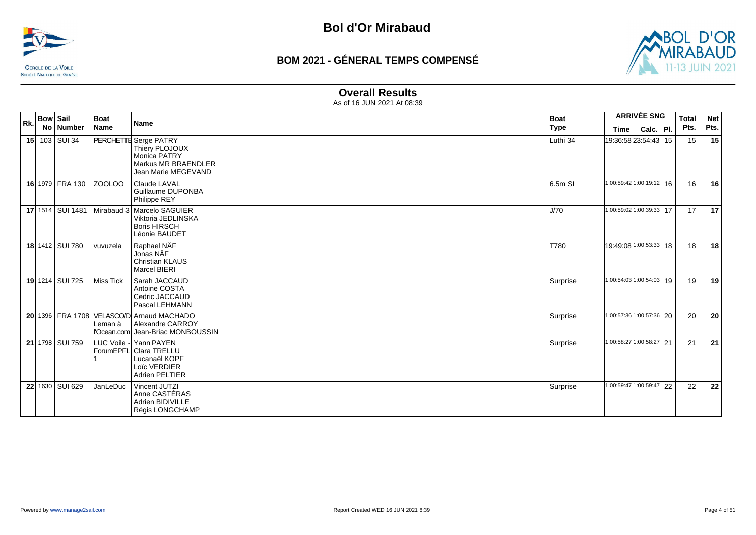



### **Overall Results**

| Rk. | <b>Bow Sail</b>  | Boat            | <b>Name</b>                                                                                                  | <b>Boat</b> |                          | <b>ARRIVÉE SNG</b> | <b>Total</b> | <b>Net</b> |
|-----|------------------|-----------------|--------------------------------------------------------------------------------------------------------------|-------------|--------------------------|--------------------|--------------|------------|
|     | No Number        | Name            |                                                                                                              | <b>Type</b> | <b>Time</b>              | Calc. Pl.          | Pts.         | Pts.       |
|     | 15 103 SUI 34    |                 | PERCHETTE Serge PATRY<br>Thiery PLOJOUX<br><b>Monica PATRY</b><br>Markus MR BRAENDLER<br>Jean Marie MEGEVAND | Luthi 34    | 19:36:58 23:54:43 15     |                    | 15           | 15         |
|     | 16 1979 FRA 130  | <b>ZOOLOO</b>   | <b>Claude LAVAL</b><br>Guillaume DUPONBA<br>Philippe REY                                                     | 6.5m SI     | 1:00:59:42 1:00:19:12 16 |                    | 16           | 16         |
|     | 17 1514 SUI 1481 |                 | Mirabaud 3 Marcelo SAGUIER<br>Viktoria JEDLINSKA<br><b>Boris HIRSCH</b><br>Léonie BAUDET                     | J/70        | 1:00:59:02 1:00:39:33 17 |                    | 17           | 17         |
|     | 18 1412 SUI 780  | vuvuzela        | Raphael NAF<br>Jonas NÄF<br><b>Christian KLAUS</b><br><b>Marcel BIERI</b>                                    | T780        | 19:49:08 1:00:53:33 18   |                    | 18           | 18         |
|     | 19 1214 SUI 725  | Miss Tick       | Sarah JACCAUD<br>Antoine COSTA<br>Cedric JACCAUD<br>Pascal LEHMANN                                           | Surprise    | 1:00:54:03 1:00:54:03 19 |                    | 19           | 19         |
|     |                  | Leman à         | 20 1396 FRA 1708 VELASCO/D Arnaud MACHADO<br>Alexandre CARROY<br>l'Ocean.com Jean-Briac MONBOUSSIN           | Surprise    | 1:00:57:36 1:00:57:36 20 |                    | 20           | 20         |
|     | 21 1798 SUI 759  |                 | LUC Voile - Yann PAYEN<br>ForumEPFL Clara TRELLU<br>Lucanaël KOPF<br>Loïc VERDIER<br><b>Adrien PELTIER</b>   | Surprise    | 1:00:58:27 1:00:58:27 21 |                    | 21           | 21         |
|     | 22 1630 SUI 629  | <b>JanLeDuc</b> | Vincent JUTZI<br>Anne CASTERAS<br>Adrien BIDIVILLE<br>Régis LONGCHAMP                                        | Surprise    | 1:00:59:47 1:00:59:47 22 |                    | 22           | 22         |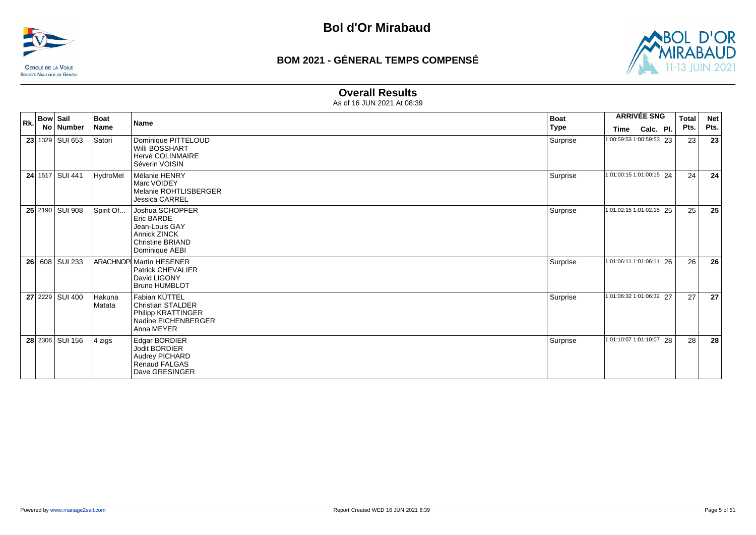



### **Overall Results**

| <b>Bow Sail</b><br>Rk. |  |                 | Boat             | Name                                                                                                                | <b>Boat</b> |                          | <b>ARRIVÉE SNG</b> | <b>Total</b> | <b>Net</b> |
|------------------------|--|-----------------|------------------|---------------------------------------------------------------------------------------------------------------------|-------------|--------------------------|--------------------|--------------|------------|
|                        |  | No Number       | <b>Name</b>      |                                                                                                                     | <b>Type</b> | Time                     | Calc. Pl.          | Pts.         | Pts.       |
|                        |  | 23 1329 SUI 653 | Satori           | Dominique PITTELOUD<br><b>Willi BOSSHART</b><br>Hervé COLINMAIRE<br>Séverin VOISIN                                  | Surprise    | 1:00:59:53 1:00:59:53 23 |                    | 23           | 23         |
|                        |  | 24 1517 SUI 441 | HydroMel         | Mélanie HENRY<br>Marc VOIDEY<br>Melanie ROHTLISBERGER<br>Jessica CARREL                                             | Surprise    | 1:01:00:15 1:01:00:15 24 |                    | 24           | 24         |
|                        |  | 25 2190 SUI 908 | Spirit Of        | Joshua SCHOPFER<br>Eric BARDE<br>Jean-Louis GAY<br><b>Annick ZINCK</b><br><b>Christine BRIAND</b><br>Dominique AEBI | Surprise    | 1:01:02:15 1:01:02:15 25 |                    | 25           | 25         |
|                        |  | 26 608 SUI 233  |                  | <b>ARACHNOP Martin HESENER</b><br><b>Patrick CHEVALIER</b><br>David LIGONY<br><b>Bruno HUMBLOT</b>                  | Surprise    | 1:01:06:11 1:01:06:11 26 |                    | 26           | 26         |
|                        |  | 27 2229 SUI 400 | Hakuna<br>Matata | Fabian KÜTTEL<br><b>Christian STALDER</b><br>Philipp KRATTINGER<br>Nadine EICHENBERGER<br>Anna MEYER                | Surprise    | 1:01:06:32 1:01:06:32 27 |                    | 27           | 27         |
|                        |  | 28 2306 SUI 156 | 4 zigs           | Edgar BORDIER<br>Jodit BORDIER<br>Audrey PICHARD<br><b>Renaud FALGAS</b><br>Dave GRESINGER                          | Surprise    | 1:01:10:07 1:01:10:07 28 |                    | 28           | 28         |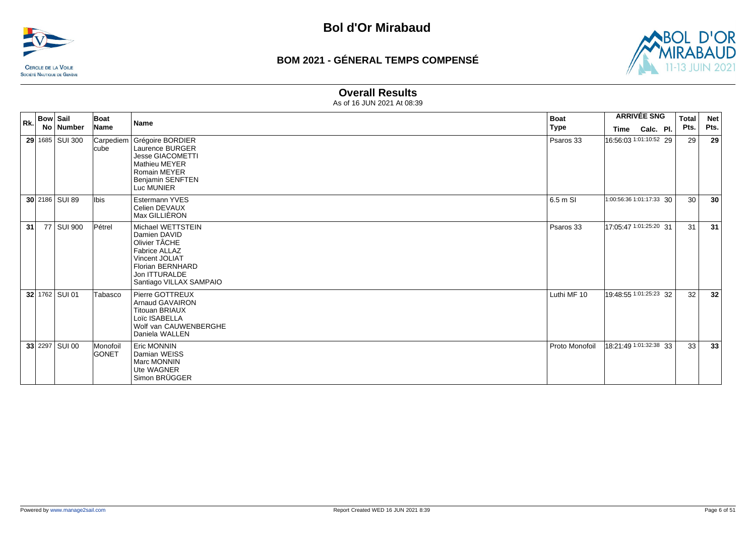



### **Overall Results**

|    | $ R_k $ Bow Sail | Boat<br><b>Name</b><br><b>Name</b> | <b>Boat</b>                                                                                                                                                         |                | <b>ARRIVÉE SNG</b>       | <b>Total</b> | <b>Net</b> |      |
|----|------------------|------------------------------------|---------------------------------------------------------------------------------------------------------------------------------------------------------------------|----------------|--------------------------|--------------|------------|------|
|    | No   Number      |                                    |                                                                                                                                                                     | <b>Type</b>    | <b>Time</b>              | Calc. Pl.    | Pts.       | Pts. |
|    | 29 1685 SUI 300  | Carpediem<br><b>cube</b>           | Grégoire BORDIER<br>Laurence BURGER<br><b>Jesse GIACOMETTI</b><br><b>Mathieu MEYER</b><br><b>Romain MEYER</b><br><b>Benjamin SENFTEN</b><br>Luc MUNIER              | Psaros 33      | 16:56:03 1:01:10:52 29   |              | 29         | 29   |
|    | 30 2186 SUI 89   | lIbis l                            | Estermann YVES<br>Celien DEVAUX<br>Max GILLIÈRON                                                                                                                    | 6.5 m SI       | 1:00:56:36 1:01:17:33 30 |              | 30         | 30   |
| 31 | 77 SUI 900       | Pétrel                             | Michael WETTSTEIN<br>Damien DAVID<br>Olivier TÂCHE<br><b>Fabrice ALLAZ</b><br>Vincent JOLIAT<br><b>Florian BERNHARD</b><br>Jon ITTURALDE<br>Santiago VILLAX SAMPAIO | Psaros 33      | 17:05:47 1:01:25:20 31   |              | 31         | 31   |
|    | 32 1762 SUI 01   | Tabasco                            | Pierre GOTTREUX<br><b>Arnaud GAVAIRON</b><br><b>Titouan BRIAUX</b><br>Loïc ISABELLA<br>Wolf van CAUWENBERGHE<br>Daniela WALLEN                                      | Luthi MF 10    | 19:48:55 1:01:25:23 32   |              | 32         | 32   |
|    | 33 2297 SUI 00   | Monofoil<br><b>GONET</b>           | Eric MONNIN<br>Damian WEISS<br>Marc MONNIN<br>Ute WAGNER<br>Simon BRÜGGER                                                                                           | Proto Monofoil | 18:21:49 1:01:32:38 33   |              | 33         | 33   |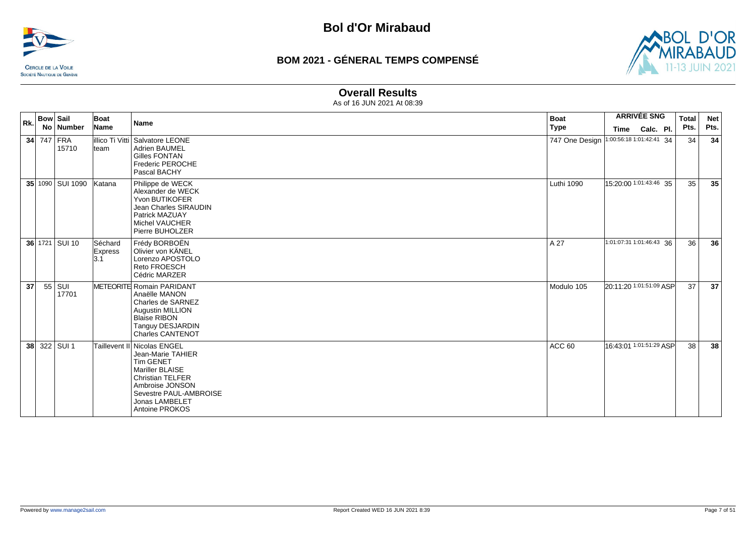



#### **Overall Results**

| Rk.             | <b>Bow Sail</b> |                     | Boat                             | <b>Name</b>                                                                                                                                                                                  | <b>Boat</b>       | <b>ARRIVÉE SNG</b> |                          | <b>Total</b> | <b>Net</b> |
|-----------------|-----------------|---------------------|----------------------------------|----------------------------------------------------------------------------------------------------------------------------------------------------------------------------------------------|-------------------|--------------------|--------------------------|--------------|------------|
|                 |                 | No Number           | Name                             |                                                                                                                                                                                              | <b>Type</b>       | Time               | Calc. Pl.                | Pts.         | Pts.       |
|                 |                 | 34 747 FRA<br>15710 | lteam                            | illico Ti Vitti Salvatore LEONE<br>Adrien BAUMEL<br><b>Gilles FONTAN</b><br><b>Frederic PEROCHE</b><br>Pascal BACHY                                                                          | 747 One Design    |                    | 1:00:56:18 1:01:42:41 34 | 34           | 34         |
|                 |                 | 35 1090 SUI 1090    | Katana                           | Philippe de WECK<br>Alexander de WECK<br>Yvon BUTIKOFER<br>Jean Charles SIRAUDIN<br>Patrick MAZUAY<br>Michel VAUCHER<br>Pierre BUHOLZER                                                      | Luthi 1090        |                    | 15:20:00 1:01:43:46 35   | 35           | 35         |
|                 |                 | 36 1721 SUI 10      | Séchard<br><b>Express</b><br>3.1 | Frédy BORBOËN<br>Olivier von KÄNEL<br>Lorenzo APOSTOLO<br><b>Reto FROESCH</b><br>Cédric MARZER                                                                                               | A 27              |                    | 1:01:07:31 1:01:46:43 36 | 36           | 36         |
| 37 <sup>2</sup> |                 | 55 SUI<br>17701     |                                  | METEORITE Romain PARIDANT<br>Anaëlle MANON<br>Charles de SARNEZ<br>Augustin MILLION<br><b>Blaise RIBON</b><br>Tanguy DESJARDIN<br><b>Charles CANTENOT</b>                                    | Modulo 105        |                    | 20:11:20 1:01:51:09 ASP  | 37           | 37         |
|                 |                 | 38 322 SUI 1        |                                  | Taillevent II Nicolas ENGEL<br>Jean-Marie TAHIER<br>Tim GENET<br>Mariller BLAISE<br><b>Christian TELFER</b><br>Ambroise JONSON<br>Sevestre PAUL-AMBROISE<br>Jonas LAMBELET<br>Antoine PROKOS | ACC <sub>60</sub> |                    | 16:43:01 1:01:51:29 ASP  | 38           | 38         |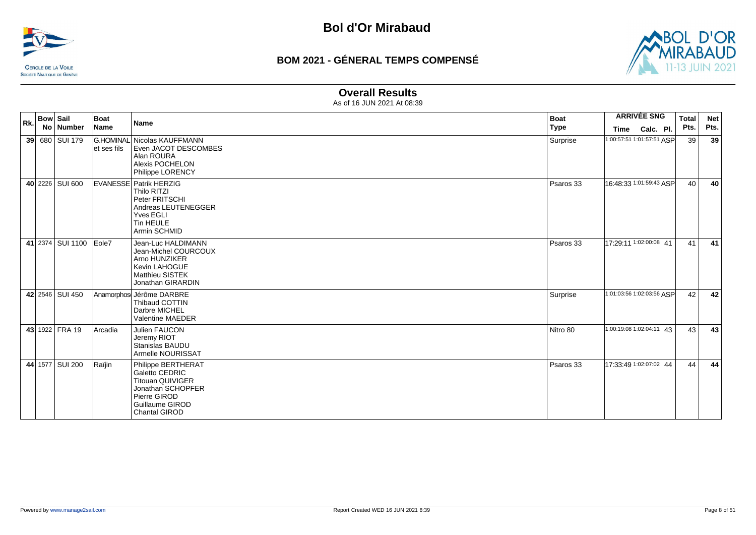



#### **Overall Results**

| Rk. | <b>Bow Sail</b> |                  | Boat        | <b>Name</b>                                                                                                                                     | <b>Boat</b> |      | <b>ARRIVÉE SNG</b>        | <b>Total</b> | <b>Net</b> |
|-----|-----------------|------------------|-------------|-------------------------------------------------------------------------------------------------------------------------------------------------|-------------|------|---------------------------|--------------|------------|
|     |                 | No Number        | Name        |                                                                                                                                                 | <b>Type</b> | Time | Calc. Pl.                 | Pts.         | Pts.       |
|     |                 | 39 680 SUI 179   | et ses fils | G.HOMINAL Nicolas KAUFFMANN<br>Even JACOT DESCOMBES<br>Alan ROURA<br>Alexis POCHELON<br>Philippe LORENCY                                        | Surprise    |      | 1:00:57:51 1:01:57:51 ASP | 39           | 39         |
|     |                 | 40 2226 SUI 600  |             | <b>EVANESSE Patrik HERZIG</b><br>Thilo RITZI<br>Peter FRITSCHI<br>Andreas LEUTENEGGER<br>Yves EGLI<br>Tin HEULE<br>Armin SCHMID                 | Psaros 33   |      | 16:48:33 1:01:59:43 ASP   | 40           | 40         |
|     |                 | 41 2374 SUI 1100 | Eole7       | Jean-Luc HALDIMANN<br>Jean-Michel COURCOUX<br>Arno HUNZIKER<br>Kevin LAHOGUE<br><b>Matthieu SISTEK</b><br>Jonathan GIRARDIN                     | Psaros 33   |      | 17:29:11 1:02:00:08 41    | 41           | 41         |
|     |                 | 42 2546 SUI 450  |             | Anamorphos Jérôme DARBRE<br>Thibaud COTTIN<br>Darbre MICHEL<br>Valentine MAEDER                                                                 | Surprise    |      | 1:01:03:56 1:02:03:56 ASP | 42           | 42         |
|     |                 | 43 1922 FRA 19   | Arcadia     | Julien FAUCON<br>Jeremy RIOT<br>Stanislas BAUDU<br>Armelle NOURISSAT                                                                            | Nitro 80    |      | 1:00:19:08 1:02:04:11 43  | 43           | 43         |
|     |                 | 44 1577 SUI 200  | Raïjin      | Philippe BERTHERAT<br>Galetto CEDRIC<br><b>Titouan QUIVIGER</b><br>Jonathan SCHOPFER<br>Pierre GIROD<br><b>Guillaume GIROD</b><br>Chantal GIROD | Psaros 33   |      | 17:33:49 1:02:07:02 44    | 44           | 44         |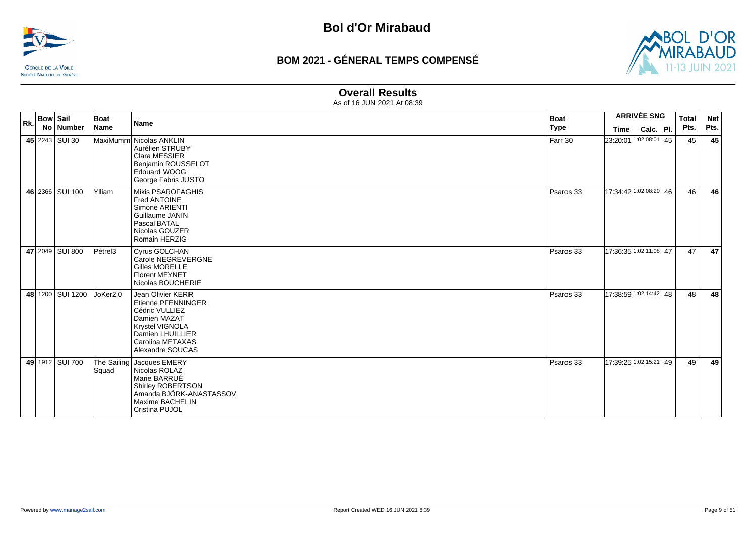



#### **Overall Results**

| Rk. | <b>Bow Sail</b> | No Number        | Boat<br>Name | <b>Name</b>                                                                                                                                                            | <b>Boat</b><br>Type | Time                   | <b>ARRIVÉE SNG</b><br>Calc. Pl. | <b>Total</b><br>Pts. | <b>Net</b><br>Pts. |
|-----|-----------------|------------------|--------------|------------------------------------------------------------------------------------------------------------------------------------------------------------------------|---------------------|------------------------|---------------------------------|----------------------|--------------------|
|     |                 | 45 2243 SUI 30   |              | MaxiMumm Nicolas ANKLIN<br>Aurélien STRUBY<br><b>Clara MESSIER</b><br>Benjamin ROUSSELOT<br>Edouard WOOG<br>George Fabris JUSTO                                        | Farr 30             | 23:20:01 1:02:08:01 45 |                                 | 45                   | 45                 |
|     |                 | 46 2366 SUI 100  | Ylliam       | Mikis PSAROFAGHIS<br>Fred ANTOINE<br>Simone ARIENTI<br>Guillaume JANIN<br>Pascal BATAL<br>Nicolas GOUZER<br>Romain HERZIG                                              | Psaros 33           | 17:34:42 1:02:08:20 46 |                                 | 46                   | 46                 |
|     |                 | 47 2049 SUI 800  | Pétrel3      | <b>Cyrus GOLCHAN</b><br>Carole NEGREVERGNE<br><b>Gilles MORELLE</b><br><b>Florent MEYNET</b><br>Nicolas BOUCHERIE                                                      | Psaros 33           | 17:36:35 1:02:11:08 47 |                                 | 47                   | 47                 |
|     |                 | 48 1200 SUI 1200 | JoKer2.0     | Jean Olivier KERR<br><b>Etienne PFENNINGER</b><br>Cédric VULLIEZ<br>Damien MAZAT<br><b>Krystel VIGNOLA</b><br>Damien LHUILLIER<br>Carolina METAXAS<br>Alexandre SOUCAS | Psaros 33           | 17:38:59 1:02:14:42 48 |                                 | 48                   | 48                 |
|     |                 | 49 1912 SUI 700  | Squad        | The Sailing Jacques EMERY<br>Nicolas ROLAZ<br>Marie BARRUÉ<br>Shirley ROBERTSON<br>Amanda BJÖRK-ANASTASSOV<br>Maxime BACHELIN<br>Cristina PUJOL                        | Psaros 33           | 17:39:25 1:02:15:21 49 |                                 | 49                   | 49                 |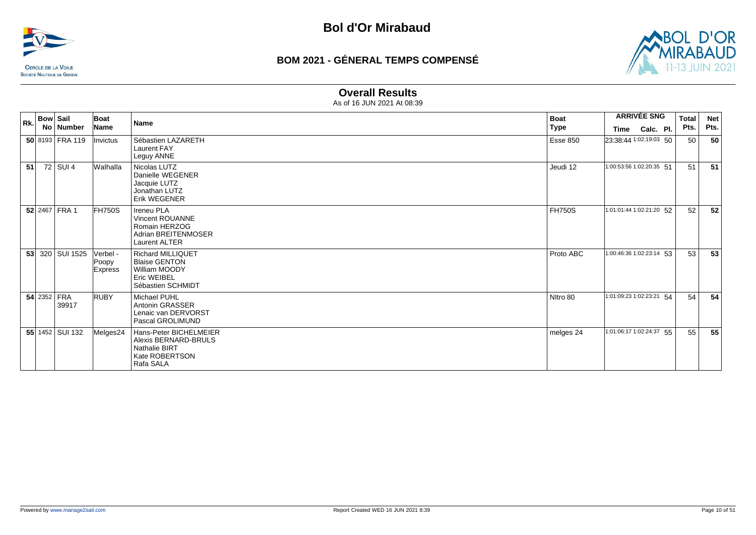



### **Overall Results**

| Rk. | <b>Bow Sail</b> |                          | Boat                                | <b>Name</b>                                                                                           | <b>Boat</b>     |                          | <b>ARRIVÉE SNG</b> | <b>Total</b> | <b>Net</b> |
|-----|-----------------|--------------------------|-------------------------------------|-------------------------------------------------------------------------------------------------------|-----------------|--------------------------|--------------------|--------------|------------|
|     |                 | No   Number              | <b>Name</b>                         |                                                                                                       | Type            |                          | Time Calc. Pl.     | Pts.         | Pts.       |
|     |                 | 50 8193 FRA 119          | Invictus                            | Sébastien LAZARETH<br><b>Laurent FAY</b><br>Leguy ANNE                                                | <b>Esse 850</b> | 23:38:44 1:02:19:03 50   |                    | 50           | 50         |
| 51  |                 | 72 SUI 4                 | Walhalla                            | Nicolas LUTZ<br>Danielle WEGENER<br>Jacquie LUTZ<br>Jonathan LUTZ<br>Erik WEGENER                     | Jeudi 12        | 1:00:53:56 1:02:20:35 51 |                    | 51           | 51         |
|     |                 | 52 2467 FRA 1            | FH750S                              | <b>Ireneu PLA</b><br>Vincent ROUANNE<br>Romain HERZOG<br>Adrian BREITENMOSER<br>Laurent ALTER         | <b>FH750S</b>   | 1:01:01:44 1:02:21:20 52 |                    | 52           | 52         |
|     |                 | 53 320 SUI 1525          | Verbel -<br>Poopy<br><b>Express</b> | <b>Richard MILLIQUET</b><br><b>Blaise GENTON</b><br>William MOODY<br>Eric WEIBEL<br>Sébastien SCHMIDT | Proto ABC       | 1:00:46:36 1:02:23:14 53 |                    | 53           | 53         |
|     | 54 2352 FRA     | 39917                    | <b>RUBY</b>                         | Michael PUHL<br>Antonin GRASSER<br>Lenaic van DERVORST<br>Pascal GROLIMUND                            | Nitro 80        | 1:01:09:23 1:02:23:21 54 |                    | 54           | 54         |
|     |                 | <b>55</b> 1452   SUI 132 | Melges24                            | Hans-Peter BICHELMEIER<br>Alexis BERNARD-BRULS<br><b>Nathalie BIRT</b><br>Kate ROBERTSON<br>Rafa SALA | melges 24       | 1:01:06:17 1:02:24:37 55 |                    | 55           | 55         |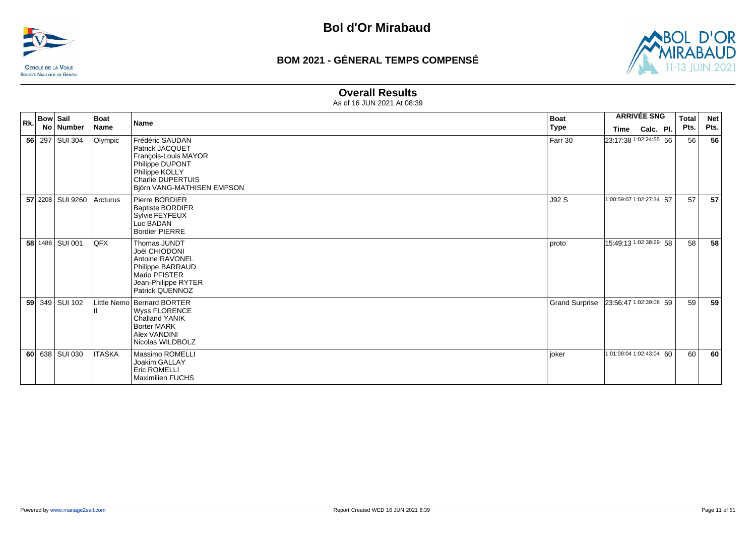



### **Overall Results**

| <b>Bow Sail</b><br>Rk.<br>No   Number |  |                  | Boat          | Name                                                                                                                                                      | <b>Boat</b>           |                          | <b>ARRIVÉE SNG</b> | <b>Total</b> | <b>Net</b> |
|---------------------------------------|--|------------------|---------------|-----------------------------------------------------------------------------------------------------------------------------------------------------------|-----------------------|--------------------------|--------------------|--------------|------------|
|                                       |  |                  | <b>Name</b>   |                                                                                                                                                           | Type                  | Time                     | Calc. Pl.          | Pts.         | Pts.       |
|                                       |  | 56 297 SUI 304   | Olympic       | Frédéric SAUDAN<br>Patrick JACQUET<br>François-Louis MAYOR<br>Philippe DUPONT<br>Philippe KOLLY<br><b>Charlie DUPERTUIS</b><br>Björn VANG-MATHISEN EMPSON | Farr 30               | 23:17:38 1:02:24:55 56   |                    | 56           | 56         |
|                                       |  | 57 2208 SUI 9260 | Arcturus      | Pierre BORDIER<br><b>Baptiste BORDIER</b><br>Sylvie FEYFEUX<br>Luc BADAN<br><b>Bordier PIERRE</b>                                                         | J92 S                 | 1:00:59:07 1:02:27:34 57 |                    | 57           | 57         |
|                                       |  | 58 1486 SUI 001  | <b>IQFX</b>   | Thomas JUNDT<br>Joël CHIODONI<br>Antoine RAVONEL<br>Philippe BARRAUD<br>Mario PFISTER<br>Jean-Philippe RYTER<br>Patrick QUENNOZ                           | proto                 | 15:49:13 1:02:38:29 58   |                    | 58           | 58         |
|                                       |  | 59 349 SUI 102   |               | Little Nemo Bernard BORTER<br>Wyss FLORENCE<br>Challand YANIK<br><b>Borter MARK</b><br>Alex VANDINI<br>Nicolas WILDBOLZ                                   | <b>Grand Surprise</b> | 23:56:47 1:02:39:08 59   |                    | 59           | 59         |
|                                       |  | 60 638 SUI 030   | <b>ITASKA</b> | Massimo ROMELLI<br>Joakim GALLAY<br><b>Eric ROMELLI</b><br><b>Maximilien FUCHS</b>                                                                        | joker                 | 1:01:08:04 1:02:43:04 60 |                    | 60           | 60         |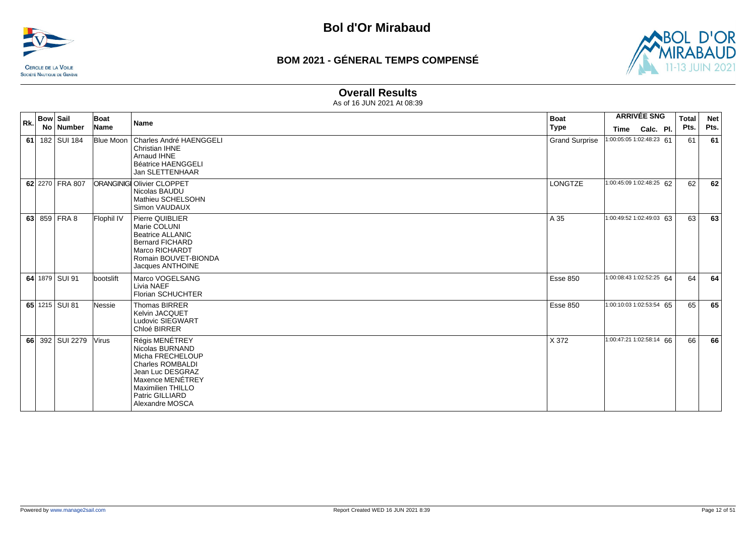![](_page_11_Picture_0.jpeg)

![](_page_11_Picture_3.jpeg)

#### **Overall Results**

| Rk. | <b>Bow Sail</b> | No   Number     | Boat<br>Name | <b>Name</b>                                                                                                                                                                         | <b>Boat</b><br>Type   | Time | <b>ARRIVÉE SNG</b><br>Calc. Pl. | <b>Total</b><br>Pts. | <b>Net</b><br>Pts. |
|-----|-----------------|-----------------|--------------|-------------------------------------------------------------------------------------------------------------------------------------------------------------------------------------|-----------------------|------|---------------------------------|----------------------|--------------------|
| 61  |                 | 182 SUI 184     |              | Blue Moon   Charles André HAENGGELI<br>Christian IHNE<br>Arnaud IHNE<br><b>Béatrice HAENGGELI</b><br><b>Jan SLETTENHAAR</b>                                                         | <b>Grand Surprise</b> |      | 1:00:05:05 1:02:48:23 61        | 61                   | 61                 |
|     |                 | 62 2270 FRA 807 |              | <b>ORANGINIGI Olivier CLOPPET</b><br>Nicolas BAUDU<br>Mathieu SCHELSOHN<br>Simon VAUDAUX                                                                                            | <b>LONGTZE</b>        |      | 1:00:45:09 1:02:48:25 62        | 62                   | 62                 |
|     |                 | 63 859 FRA 8    | Flophil IV   | Pierre QUIBLIER<br>Marie COLUNI<br><b>Beatrice ALLANIC</b><br><b>Bernard FICHARD</b><br>Marco RICHARDT<br>Romain BOUVET-BIONDA<br>Jacques ANTHOINE                                  | A 35                  |      | 1:00:49:52 1:02:49:03 63        | 63                   | 63                 |
|     |                 | 64 1879 SUI 91  | bootslift    | Marco VOGELSANG<br>Livia NAEF<br>Florian SCHUCHTER                                                                                                                                  | Esse 850              |      | 1:00:08:43 1:02:52:25 64        | 64                   | 64                 |
|     |                 | 65 1215 SUI 81  | Nessie       | Thomas BIRRER<br><b>Kelvin JACQUET</b><br>Ludovic SIEGWART<br>Chloé BIRRER                                                                                                          | <b>Esse 850</b>       |      | 1:00:10:03 1:02:53:54 65        | 65                   | 65                 |
|     |                 | 66 392 SUI 2279 | <b>Virus</b> | Régis MENÉTREY<br>Nicolas BURNAND<br>Micha FRECHELOUP<br><b>Charles ROMBALDI</b><br>Jean Luc DESGRAZ<br>Maxence MENÉTREY<br>Maximilien THILLO<br>Patric GILLIARD<br>Alexandre MOSCA | X 372                 |      | 1:00:47:21 1:02:58:14 66        | 66                   | 66                 |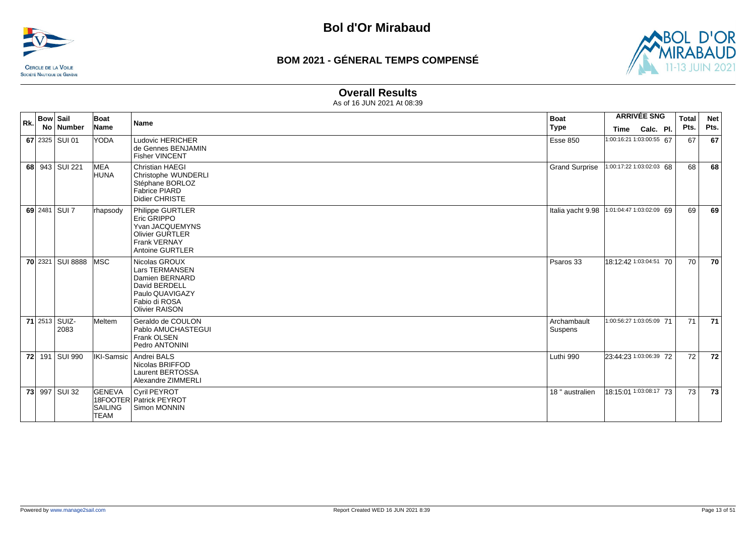![](_page_12_Picture_0.jpeg)

![](_page_12_Picture_3.jpeg)

## **Overall Results**

| Rk. | <b>Bow Sail</b><br>No Number | Boat<br>Name                                   | <b>Name</b>                                                                                                                     | <b>Boat</b><br><b>Type</b>                  | Time                     | <b>ARRIVÉE SNG</b><br>Calc. Pl. | Total<br>Pts. | <b>Net</b><br>Pts. |
|-----|------------------------------|------------------------------------------------|---------------------------------------------------------------------------------------------------------------------------------|---------------------------------------------|--------------------------|---------------------------------|---------------|--------------------|
|     | 67 2325 SUI 01               | YODA                                           | <b>Ludovic HERICHER</b><br>de Gennes BENJAMIN<br><b>Fisher VINCENT</b>                                                          | <b>Esse 850</b>                             | 1:00:16:21 1:03:00:55 67 |                                 | 67            | 67                 |
|     | 68 943 SUI 221               | MEA<br><b>HUNA</b>                             | <b>Christian HAEGI</b><br>Christophe WUNDERLI<br>Stéphane BORLOZ<br><b>Fabrice PIARD</b><br>Didier CHRISTE                      | <b>Grand Surprise</b>                       | 1:00:17:22 1:03:02:03 68 |                                 | 68            | 68                 |
|     | 69 2481 SUI 7                | rhapsody                                       | Philippe GURTLER<br>Eric GRIPPO<br>Yvan JACQUEMYNS<br><b>Olivier GURTLER</b><br><b>Frank VERNAY</b><br>Antoine GURTLER          | Italia yacht 9.98  1:01:04:47 1:03:02:09 69 |                          |                                 | 69            | 69                 |
|     | 70 2321 SUI 8888             | <b>MSC</b>                                     | Nicolas GROUX<br>Lars TERMANSEN<br>Damien BERNARD<br>David BERDELL<br>Paulo QUAVIGAZY<br>Fabio di ROSA<br><b>Olivier RAISON</b> | Psaros 33                                   | 18:12:42 1:03:04:51 70   |                                 | 70            | 70                 |
|     | 71 2513 SUIZ-<br>2083        | Meltem                                         | Geraldo de COULON<br>Pablo AMUCHASTEGUI<br>Frank OLSEN<br>Pedro ANTONINI                                                        | Archambault<br>Suspens                      | 1:00:56:27 1:03:05:09 71 |                                 | 71            | 71                 |
|     | 72 191 SUI 990               |                                                | IKI-Samsic   Andrei BALS<br>Nicolas BRIFFOD<br>Laurent BERTOSSA<br>Alexandre ZIMMERLI                                           | Luthi 990                                   | 23:44:23 1:03:06:39 72   |                                 | 72            | 72                 |
|     | 73 997 SUI 32                | <b>GENEVA</b><br><b>SAILING</b><br><b>TEAM</b> | Cyril PEYROT<br>18FOOTER Patrick PEYROT<br>Simon MONNIN                                                                         | 18 " australien                             | 18:15:01 1:03:08:17 73   |                                 | 73            | 73                 |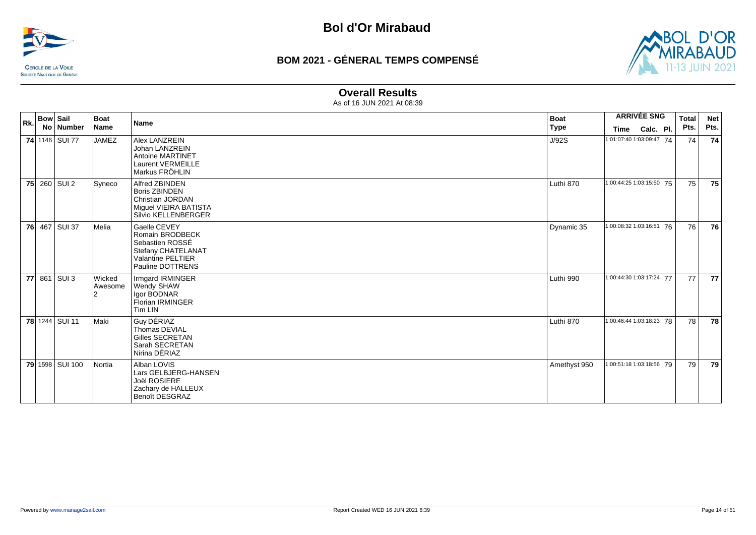![](_page_13_Picture_0.jpeg)

![](_page_13_Picture_3.jpeg)

#### **Overall Results**

| Rk. | <b>Bow Sail</b><br>No   Number | Boat<br>Name      | <b>Name</b>                                                                                                       | <b>Boat</b><br><b>Type</b> | <b>ARRIVÉE SNG</b><br>Calc. Pl.<br>Time | <b>Total</b><br>Pts. | <b>Net</b><br>Pts. |
|-----|--------------------------------|-------------------|-------------------------------------------------------------------------------------------------------------------|----------------------------|-----------------------------------------|----------------------|--------------------|
|     | 74 1146 SUI 77                 | <b>JAMEZ</b>      | Alex LANZREIN<br>Johan LANZREIN<br><b>Antoine MARTINET</b><br><b>Laurent VERMEILLE</b><br>Markus FRÖHLIN          | J/92S                      | 1:01:07:40 1:03:09:47 74                | 74                   | 74                 |
|     | 75 260 SUI 2                   | Syneco            | Alfred ZBINDEN<br><b>Boris ZBINDEN</b><br>Christian JORDAN<br>Miguel VIEIRA BATISTA<br>Silvio KELLENBERGER        | Luthi 870                  | 1:00:44:25 1:03:15:50 75                | 75                   | 75                 |
|     | 76 467 SUI 37                  | Melia             | Gaelle CEVEY<br>Romain BRODBECK<br>Sebastien ROSSÉ<br>Stefany CHATELANAT<br>Valantine PELTIER<br>Pauline DOTTRENS | Dynamic 35                 | 1:00:08:32 1:03:16:51 76                | 76                   | 76                 |
|     | 77 861 SUI 3                   | Wicked<br>Awesome | Irmgard IRMINGER<br>Wendy SHAW<br>Igor BODNAR<br><b>Florian IRMINGER</b><br>Tim LIN                               | Luthi 990                  | 1:00:44:30 1:03:17:24 77                | 77                   | 77                 |
|     | 78 1244 SUI 11                 | Maki              | Guy DÉRIAZ<br>Thomas DEVIAL<br>Gilles SECRETAN<br>Sarah SECRETAN<br>Nirina DÉRIAZ                                 | Luthi 870                  | 1:00:46:44 1:03:18:23 78                | 78                   | 78                 |
|     | 79 1598 SUI 100                | Nortia            | Alban LOVIS<br>Lars GELBJERG-HANSEN<br>Joël ROSIERE<br>Zachary de HALLEUX<br><b>Benoît DESGRAZ</b>                | Amethyst 950               | 1:00:51:18 1:03:18:56 79                | 79                   | 79                 |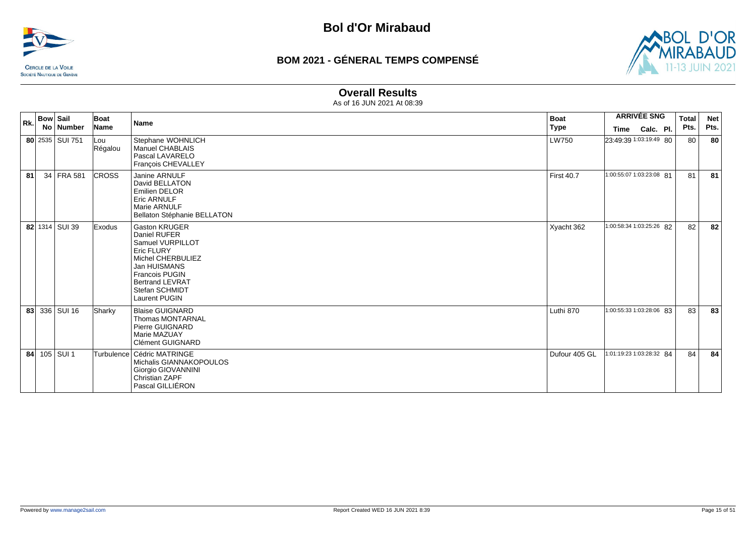![](_page_14_Picture_0.jpeg)

![](_page_14_Picture_3.jpeg)

#### **Overall Results**

| Rk. | <b>Bow Sail</b> |                 | Boat           | <b>Name</b>                                                                                                                                                                                       | <b>Boat</b>       | <b>ARRIVÉE SNG</b>       |           | <b>Total</b> | <b>Net</b> |      |
|-----|-----------------|-----------------|----------------|---------------------------------------------------------------------------------------------------------------------------------------------------------------------------------------------------|-------------------|--------------------------|-----------|--------------|------------|------|
|     |                 | No   Number     | Name           |                                                                                                                                                                                                   | <b>Type</b>       | Time                     | Calc. Pl. |              | Pts.       | Pts. |
|     |                 | 80 2535 SUI 751 | Lou<br>Régalou | Stephane WOHNLICH<br><b>Manuel CHABLAIS</b><br>Pascal LAVARELO<br>Francois CHEVALLEY                                                                                                              | LW750             | 23:49:39 1:03:19:49 80   |           |              | 80         | 80   |
| 81  |                 | 34 FRA 581      | <b>CROSS</b>   | Janine ARNULF<br>David BELLATON<br>Emilien DELOR<br>Eric ARNULF<br>Marie ARNULF<br>Bellaton Stéphanie BELLATON                                                                                    | <b>First 40.7</b> | 1:00:55:07 1:03:23:08 81 |           |              | 81         | 81   |
|     |                 | 82 1314 SUI 39  | Exodus         | <b>Gaston KRUGER</b><br>Daniel RUFER<br>Samuel VURPILLOT<br>Eric FLURY<br>Michel CHERBULIEZ<br>Jan HUISMANS<br><b>Francois PUGIN</b><br><b>Bertrand LEVRAT</b><br>Stefan SCHMIDT<br>Laurent PUGIN | Xyacht 362        | 1:00:58:34 1:03:25:26 82 |           |              | 82         | 82   |
|     |                 | 83 336 SUI 16   | Sharky         | <b>Blaise GUIGNARD</b><br><b>Thomas MONTARNAL</b><br><b>Pierre GUIGNARD</b><br>Marie MAZUAY<br>Clément GUIGNARD                                                                                   | Luthi 870         | 1:00:55:33 1:03:28:06 83 |           |              | 83         | 83   |
|     |                 | 84 105 SUI 1    |                | Turbulence   Cédric MATRINGE<br>Michalis GIANNAKOPOULOS<br>Giorgio GIOVANNINI<br>Christian ZAPF<br>Pascal GILLIÉRON                                                                               | Dufour 405 GL     | 1:01:19:23 1:03:28:32 84 |           |              | 84         | 84   |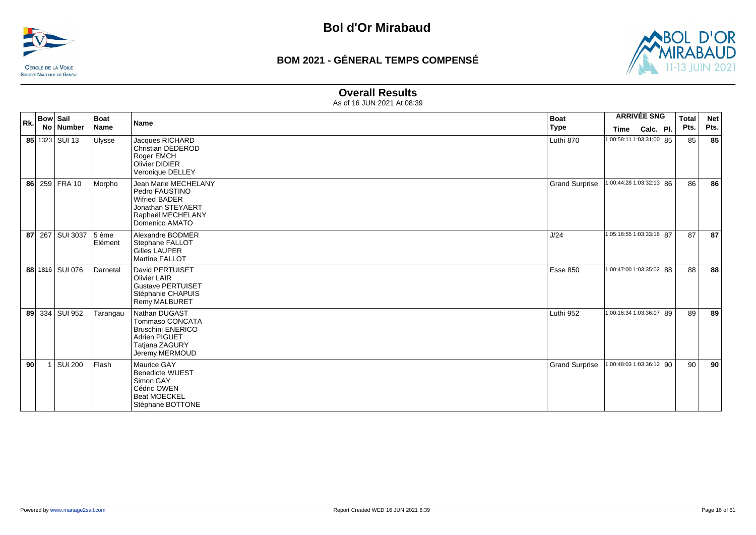![](_page_15_Picture_0.jpeg)

![](_page_15_Picture_3.jpeg)

#### **Overall Results**

| Rk. |    | <b>Bow Sail</b><br>No   Number | Boat<br>Name     | Name                                                                                                                       | <b>Boat</b><br><b>Type</b> | Time                     | <b>ARRIVÉE SNG</b><br>Calc. Pl. | <b>Total</b><br>Pts. | <b>Net</b><br>Pts. |
|-----|----|--------------------------------|------------------|----------------------------------------------------------------------------------------------------------------------------|----------------------------|--------------------------|---------------------------------|----------------------|--------------------|
|     |    | 85 1323 SUI 13                 | <b>Ulysse</b>    | Jacques RICHARD<br>Christian DEDEROD<br>Roger EMCH<br><b>Olivier DIDIER</b><br>Veronique DELLEY                            | Luthi 870                  | 1:00:58:11 1:03:31:00 85 |                                 | 85                   | 85                 |
|     |    | 86 259 FRA 10                  | Morpho           | Jean Marie MECHELANY<br>Pedro FAUSTINO<br><b>Wifried BADER</b><br>Jonathan STEYAERT<br>Raphaël MECHELANY<br>Domenico AMATO | <b>Grand Surprise</b>      | 1:00:44:28 1:03:32:13 86 |                                 | 86                   | 86                 |
|     |    | 87 267 SUI 3037                | 5 ème<br>Elément | Alexandre BODMER<br>Stephane FALLOT<br><b>Gilles LAUPER</b><br><b>Martine FALLOT</b>                                       | J/24                       | 1:05:16:55 1:03:33:16 87 |                                 | 87                   | 87                 |
|     |    | 88 1816 SUI 076                | Darnetal         | David PERTUISET<br><b>Olivier LAIR</b><br><b>Gustave PERTUISET</b><br>Stéphanie CHAPUIS<br><b>Remy MALBURET</b>            | Esse 850                   | 1:00:47:00 1:03:35:02 88 |                                 | 88                   | 88                 |
|     |    | 89 334 SUI 952                 | Tarangau         | Nathan DUGAST<br>Tommaso CONCATA<br><b>Bruschini ENERICO</b><br><b>Adrien PIGUET</b><br>Tatjana ZAGURY<br>Jeremy MERMOUD   | Luthi 952                  | 1:00:16:34 1:03:36:07 89 |                                 | 89                   | 89                 |
|     | 90 | SUI 200                        | Flash            | Maurice GAY<br><b>Benedicte WUEST</b><br>Simon GAY<br>Cédric OWEN<br><b>Beat MOECKEL</b><br>Stéphane BOTTONE               | <b>Grand Surprise</b>      | 1:00:48:03 1:03:36:12 90 |                                 | 90                   | 90                 |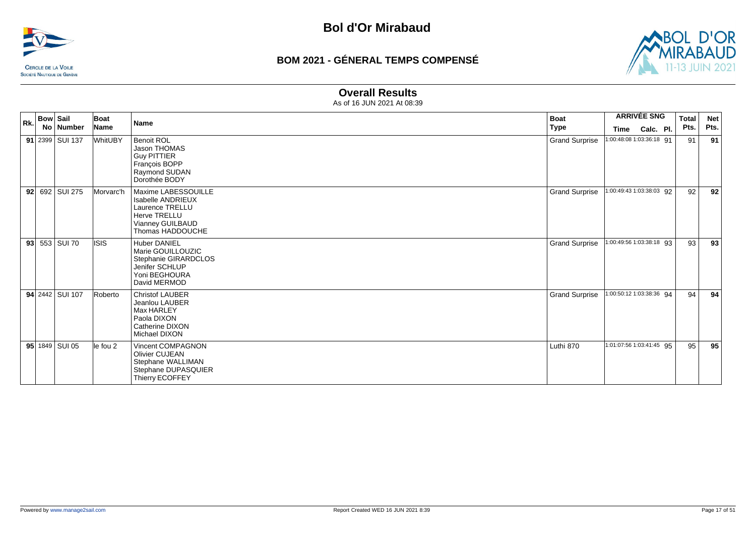![](_page_16_Picture_0.jpeg)

![](_page_16_Picture_3.jpeg)

#### **Overall Results**

| Rk. | <b>Bow Sail</b> | Boat      | <b>Name</b>                                                                                                                | <b>Boat</b>           | <b>ARRIVÉE SNG</b>       | <b>Total</b> | <b>Net</b> |
|-----|-----------------|-----------|----------------------------------------------------------------------------------------------------------------------------|-----------------------|--------------------------|--------------|------------|
|     | No   Number     | Name      |                                                                                                                            | <b>Type</b>           | Time<br>Calc. Pl.        | Pts.         | Pts.       |
|     | 91 2399 SUI 137 | WhitUBY   | <b>Benoit ROL</b><br>Jason THOMAS<br><b>Guy PITTIER</b><br>François BOPP<br>Raymond SUDAN<br>Dorothée BODY                 | <b>Grand Surprise</b> | 1:00:48:08 1:03:36:18 91 | 91           | 91         |
|     | 92 692 SUI 275  | Morvarc'h | Maxime LABESSOUILLE<br><b>Isabelle ANDRIEUX</b><br>Laurence TRELLU<br>Herve TRELLU<br>Vianney GUILBAUD<br>Thomas HADDOUCHE | <b>Grand Surprise</b> | 1:00:49:43 1:03:38:03 92 | 92           | 92         |
|     | 93 553 SUI 70   | lisis     | <b>Huber DANIEL</b><br>Marie GOUILLOUZIC<br>Stephanie GIRARDCLOS<br>Jenifer SCHLUP<br>Yoni BEGHOURA<br>David MERMOD        | <b>Grand Surprise</b> | 1:00:49:56 1:03:38:18 93 | 93           | 93         |
|     | 94 2442 SUI 107 | Roberto   | <b>Christof LAUBER</b><br>Jeanlou LAUBER<br>Max HARLEY<br>Paola DIXON<br>Catherine DIXON<br>Michael DIXON                  | <b>Grand Surprise</b> | 1:00:50:12 1:03:38:36 94 | 94           | 94         |
|     | 95 1849 SUI 05  | le fou 2  | <b>Vincent COMPAGNON</b><br>Olivier CUJEAN<br>Stephane WALLIMAN<br>Stephane DUPASQUIER<br>Thierry ECOFFEY                  | Luthi 870             | 1:01:07:56 1:03:41:45 95 | 95           | 95         |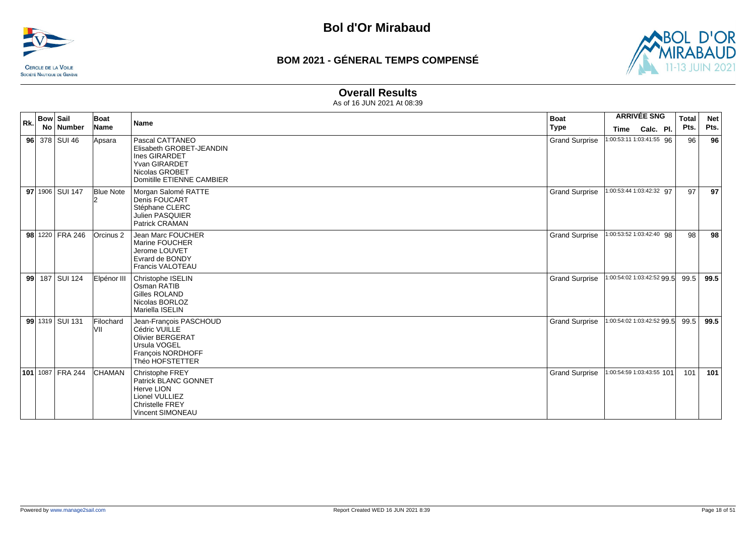![](_page_17_Picture_0.jpeg)

![](_page_17_Picture_3.jpeg)

#### **Overall Results**

| Rk. | <b>Bow Sail</b><br>No Number | Boat<br>Name     | <b>Name</b>                                                                                                                  | <b>Boat</b><br><b>Type</b> | <b>ARRIVÉE SNG</b><br>Calc. Pl.<br><b>Time</b> | <b>Total</b><br>Pts. | <b>Net</b><br>Pts. |
|-----|------------------------------|------------------|------------------------------------------------------------------------------------------------------------------------------|----------------------------|------------------------------------------------|----------------------|--------------------|
|     | $96$ 378 SUI 46              | Apsara           | Pascal CATTANEO<br>Elisabeth GROBET-JEANDIN<br>Ines GIRARDET<br>Yvan GIRARDET<br>Nicolas GROBET<br>Domitille ETIENNE CAMBIER | <b>Grand Surprise</b>      | 1:00:53:11 1:03:41:55 96                       | 96                   | 96                 |
|     | 97 1906 SUI 147              | <b>Blue Note</b> | Morgan Salomé RATTE<br><b>Denis FOUCART</b><br>Stéphane CLERC<br><b>Julien PASQUIER</b><br>Patrick CRAMAN                    | <b>Grand Surprise</b>      | 1:00:53:44 1:03:42:32 97                       | 97                   | 97                 |
|     | 98 1220 FRA 246              | Orcinus 2        | Jean Marc FOUCHER<br>Marine FOUCHER<br>Jerome LOUVET<br>Evrard de BONDY<br>Francis VALOTEAU                                  | <b>Grand Surprise</b>      | 1:00:53:52 1:03:42:40 98                       | 98                   | 98                 |
|     | 99 187 SUI 124               | Elpénor III      | Christophe ISELIN<br>Osman RATIB<br>Gilles ROLAND<br>Nicolas BORLOZ<br>Mariella ISELIN                                       | <b>Grand Surprise</b>      | 1:00:54:02 1:03:42:52 99.5                     | 99.5                 | 99.5               |
|     | 99 1319 SUI 131              | Filochard<br>VII | Jean-François PASCHOUD<br>Cédric VUILLE<br><b>Olivier BERGERAT</b><br>Ursula VOGEL<br>François NORDHOFF<br>Théo HOFSTETTER   | <b>Grand Surprise</b>      | 1:00:54:02 1:03:42:52 99.5                     | 99.5                 | 99.5               |
|     | 101 1087 FRA 244             | <b>CHAMAN</b>    | Christophe FREY<br>Patrick BLANC GONNET<br>Herve LION<br>Lionel VULLIEZ<br><b>Christelle FREY</b><br><b>Vincent SIMONEAU</b> | <b>Grand Surprise</b>      | 1:00:54:59 1:03:43:55 101                      | 101                  | 101                |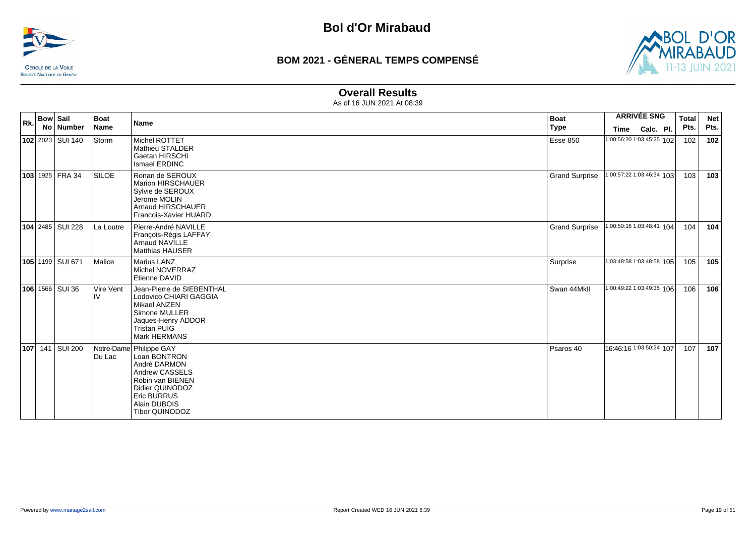![](_page_18_Picture_0.jpeg)

![](_page_18_Picture_3.jpeg)

#### **Overall Results**

|     | <b>Bow Sail</b> |                   | Boat             |                                                                                                                                                                                 | <b>Boat</b>           | <b>ARRIVÉE SNG</b>        |           | <b>Total</b> | <b>Net</b> |
|-----|-----------------|-------------------|------------------|---------------------------------------------------------------------------------------------------------------------------------------------------------------------------------|-----------------------|---------------------------|-----------|--------------|------------|
| Rk. |                 | No   Number       | Name             | Name                                                                                                                                                                            | Type                  | Time                      | Calc. Pl. | Pts.         | Pts.       |
|     |                 | 102 2023 SUI 140  | Storm            | Michel ROTTET<br>Mathieu STALDER<br>Gaetan HIRSCHI<br>Ismael ERDINC                                                                                                             | <b>Esse 850</b>       | 1:00:56:20 1:03:45:25 102 |           | 102          | 102        |
|     |                 | $103$ 1925 FRA 34 | <b>SILOE</b>     | Ronan de SEROUX<br>Marion HIRSCHAUER<br>Sylvie de SEROUX<br>Jerome MOLIN<br>Arnaud HIRSCHAUER<br>Francois-Xavier HUARD                                                          | <b>Grand Surprise</b> | 1:00:57:22 1:03:46:34 103 |           | 103          | 103        |
|     |                 | 104 2485 SUI 228  | La Loutre        | Pierre-André NAVILLE<br>François-Régis LAFFAY<br><b>Arnaud NAVILLE</b><br><b>Matthias HAUSER</b>                                                                                | <b>Grand Surprise</b> | 1:00:59:16 1:03:48:41 104 |           | 104          | 104        |
|     |                 | 105 1199 SUI 671  | Malice           | <b>Marius LANZ</b><br>Michel NOVERRAZ<br>Etienne DAVID                                                                                                                          | Surprise              | 1:03:48:58 1:03:48:58 105 |           | 105          | 105        |
|     |                 | 106 1566 SUI 36   | Vire Vent<br>IIV | Jean-Pierre de SIEBENTHAL<br>Lodovico CHIARI GAGGIA<br>Mikael ANZEN<br>Simone MULLER<br>Jaques-Henry ADDOR<br><b>Tristan PUIG</b><br>Mark HERMANS                               | Swan 44MkII           | 1:00:49:22 1:03:49:35 106 |           | 106          | 106        |
|     |                 | 107 141 SUI 200   | Du Lac           | Notre-Dame Philippe GAY<br>Loan BONTRON<br>André DARMON<br>Andrew CASSELS<br>Robin van BIENEN<br>Didier QUINODOZ<br><b>Eric BURRUS</b><br>Alain DUBOIS<br><b>Tibor QUINODOZ</b> | Psaros 40             | 16:46:16 1:03:50:24 107   |           | 107          | 107        |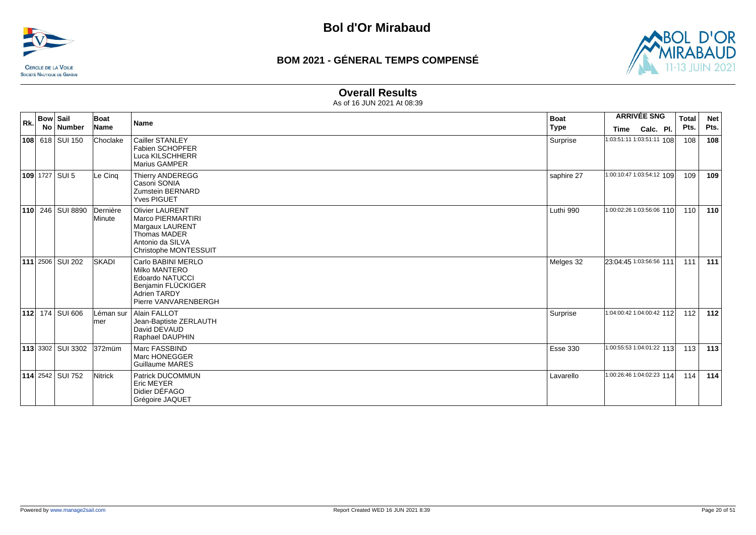![](_page_19_Picture_0.jpeg)

![](_page_19_Picture_3.jpeg)

### **Overall Results**

| Rk. | <b>Bow Sail</b><br>No Number | Boat<br>Name       | <b>Name</b>                                                                                                                        | <b>Boat</b><br><b>Type</b> | Time                      | <b>ARRIVÉE SNG</b><br>Calc. Pl. | Total<br>Pts. | <b>Net</b><br>Pts. |
|-----|------------------------------|--------------------|------------------------------------------------------------------------------------------------------------------------------------|----------------------------|---------------------------|---------------------------------|---------------|--------------------|
|     | 108 618 SUI 150              | Choclake           | Cailler STANLEY<br><b>Fabien SCHOPFER</b><br>Luca KILSCHHERR<br><b>Marius GAMPER</b>                                               | Surprise                   | 1:03:51:11 1:03:51:11 108 |                                 | 108           | 108                |
|     | <b>109</b> 1727 SUI 5        | Le Cing            | <b>Thierry ANDEREGG</b><br>Casoni SONIA<br>Zumstein BERNARD<br><b>Yves PIGUET</b>                                                  | saphire 27                 | 1:00:10:47 1:03:54:12 109 |                                 | 109           | 109                |
|     | 110 246 SUI 8890             | Dernière<br>Minute | <b>Olivier LAURENT</b><br>Marco PIERMARTIRI<br>Margaux LAURENT<br>Thomas MADER<br>Antonio da SILVA<br>Christophe MONTESSUIT        | Luthi 990                  | 1:00:02:26 1:03:56:06 110 |                                 | 110           | 110                |
|     | 111 2506 SUI 202             | <b>SKADI</b>       | Carlo BABINI MERLO<br>Milko MANTERO<br><b>Edoardo NATUCCI</b><br>Benjamin FLÜCKIGER<br><b>Adrien TARDY</b><br>Pierre VANVARENBERGH | Melges 32                  | 23:04:45 1:03:56:56 111   |                                 | 111           | 111                |
|     | 112 174 SUI 606              | Léman sur<br>lmer  | Alain FALLOT<br>Jean-Baptiste ZERLAUTH<br>David DEVAUD<br>Raphael DAUPHIN                                                          | Surprise                   | 1:04:00:42 1:04:00:42 112 |                                 | 112           | 112                |
|     | $113$ 3302 SUI 3302          | 372müm             | Marc FASSBIND<br>Marc HONEGGER<br><b>Guillaume MARES</b>                                                                           | <b>Esse 330</b>            | 1:00:55:53 1:04:01:22 113 |                                 | 113           | 113                |
|     | <b>114</b> 2542 SUI 752      | Nitrick            | Patrick DUCOMMUN<br><b>Eric MEYER</b><br>Didier DÉFAGO<br>Grégoire JAQUET                                                          | Lavarello                  | 1:00:26:46 1:04:02:23 114 |                                 | 114           | 114                |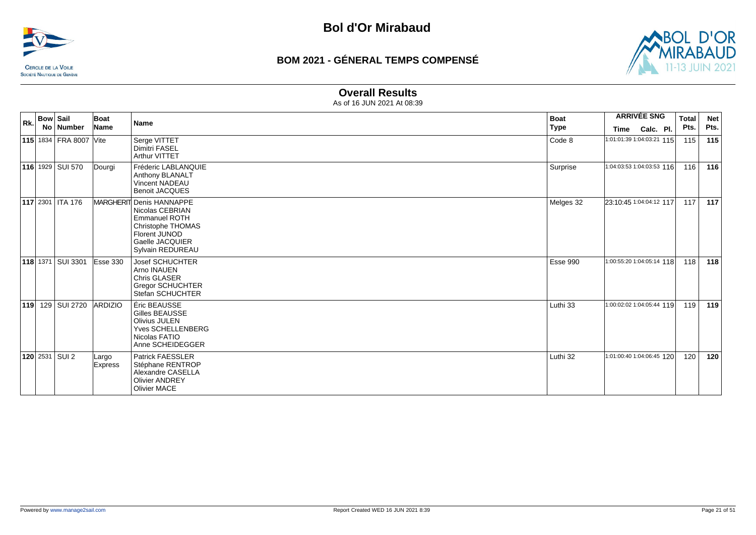![](_page_20_Picture_0.jpeg)

![](_page_20_Picture_3.jpeg)

### **Overall Results**

| Rk. | <b>Bow Sail</b>        | Boat                    | <b>Name</b>                                                                                                                                      | <b>Boat</b> | <b>ARRIVÉE SNG</b>        |           | <b>Total</b> | <b>Net</b> |
|-----|------------------------|-------------------------|--------------------------------------------------------------------------------------------------------------------------------------------------|-------------|---------------------------|-----------|--------------|------------|
|     | No   Number            | Name                    |                                                                                                                                                  | <b>Type</b> | <b>Time</b>               | Calc. Pl. | Pts.         | Pts.       |
|     | 115 1834 FRA 8007 Vite |                         | Serge VITTET<br><b>Dimitri FASEL</b><br><b>Arthur VITTET</b>                                                                                     | Code 8      | 1:01:01:39 1:04:03:21 115 |           | 115          | 115        |
|     | 116 1929 SUI 570       | Dourgi                  | Fréderic LABLANQUIE<br>Anthony BLANALT<br>Vincent NADEAU<br><b>Benoit JACQUES</b>                                                                | Surprise    | 1:04:03:53 1:04:03:53 116 |           | 116          | 116        |
|     | 117 2301   ITA 176     |                         | MARGHERIT Denis HANNAPPE<br>Nicolas CEBRIAN<br><b>Emmanuel ROTH</b><br>Christophe THOMAS<br>Florent JUNOD<br>Gaelle JACQUIER<br>Sylvain REDUREAU | Melges 32   | 23:10:45 1:04:04:12 117   |           | 117          | 117        |
|     | 118 1371 SUI 3301      | Esse 330                | <b>Josef SCHUCHTER</b><br>Arno INAUEN<br><b>Chris GLASER</b><br><b>Gregor SCHUCHTER</b><br>Stefan SCHUCHTER                                      | Esse 990    | 1:00:55:20 1:04:05:14 118 |           | 118          | 118        |
|     | 119 129 SUI 2720       | <b>ARDIZIO</b>          | Éric BEAUSSE<br>Gilles BEAUSSE<br><b>Olivius JULEN</b><br><b>Yves SCHELLENBERG</b><br>Nicolas FATIO<br>Anne SCHEIDEGGER                          | Luthi 33    | 1:00:02:02 1:04:05:44 119 |           | 119          | 119        |
|     | 120 2531 SUI 2         | Largo<br><b>Express</b> | Patrick FAESSLER<br>Stéphane RENTROP<br>Alexandre CASELLA<br><b>Olivier ANDREY</b><br><b>Olivier MACE</b>                                        | Luthi 32    | 1:01:00:40 1:04:06:45 120 |           | 120          | 120        |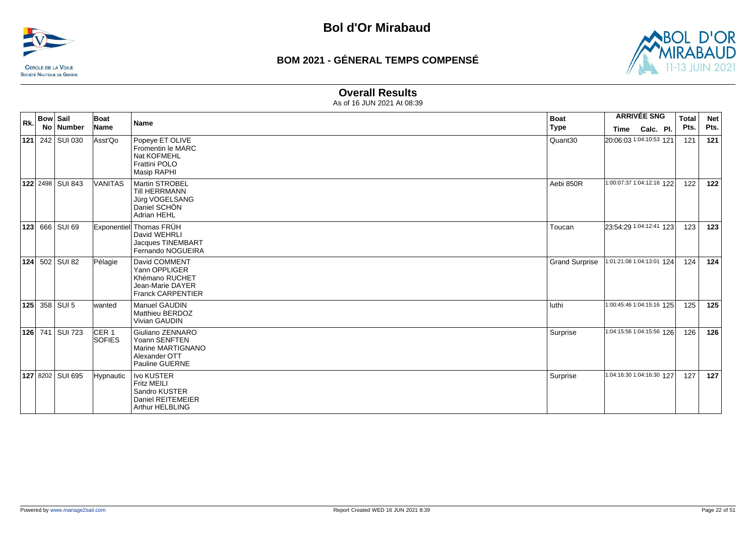![](_page_21_Picture_0.jpeg)

![](_page_21_Picture_3.jpeg)

#### **Overall Results**

| Rk. | <b>Bow Sail</b> | No Number             | Boat<br>Name                      | Name                                                                                                    | <b>Boat</b><br><b>Type</b> | Time                      | <b>ARRIVÉE SNG</b><br>Calc. Pl. | <b>Total</b><br>Pts. | <b>Net</b><br>Pts. |
|-----|-----------------|-----------------------|-----------------------------------|---------------------------------------------------------------------------------------------------------|----------------------------|---------------------------|---------------------------------|----------------------|--------------------|
|     |                 | 121 242 SUI 030       | Asst'Qo                           | Popeye ET OLIVE<br>Fromentin le MARC<br>Nat KOFMEHL<br>Frattini POLO<br>Masip RAPHI                     | Quant30                    | 20:06:03 1:04:10:53 121   |                                 | 121                  | 121                |
|     |                 | 122 2498 SUI 843      | <b>VANITAS</b>                    | <b>Martin STROBEL</b><br><b>Till HERRMANN</b><br>Jürg VOGELSANG<br>Daniel SCHÖN<br>Adrian HEHL          | Aebi 850R                  | 1:00:07:37 1:04:12:16 122 |                                 | 122                  | 122                |
| 123 |                 | 666 SUI 69            |                                   | Exponentiel Thomas FRÜH<br>David WEHRLI<br>Jacques TINEMBART<br>Fernando NOGUEIRA                       | Toucan                     | 23:54:29 1:04:12:41 123   |                                 | 123                  | 123                |
|     |                 | <b>124</b> 502 SUI 82 | Pélagie                           | David COMMENT<br>Yann OPPLIGER<br>Khémano RUCHET<br>Jean-Marie DAYER<br><b>Franck CARPENTIER</b>        | <b>Grand Surprise</b>      | 1:01:21:08 1:04:13:01 124 |                                 | 124                  | 124                |
|     |                 | 125 358 SUI 5         | lwanted                           | <b>Manuel GAUDIN</b><br>Matthieu BERDOZ<br><b>Vivian GAUDIN</b>                                         | luthi                      | 1:00:45:46 1:04:15:16 125 |                                 | 125                  | 125                |
|     |                 | 126 741 SUI 723       | CER <sub>1</sub><br><b>SOFIES</b> | Giuliano ZENNARO<br>Yoann SENFTEN<br>Marine MARTIGNANO<br>Alexander OTT<br>Pauline GUERNE               | Surprise                   | 1:04:15:56 1:04:15:56 126 |                                 | 126                  | 126                |
|     |                 | 127 8202 SUI 695      | Hypnautic                         | <b>Ivo KUSTER</b><br><b>Fritz MEILI</b><br>Sandro KUSTER<br>Daniel REITEMEIER<br><b>Arthur HELBLING</b> | Surprise                   | 1:04:16:30 1:04:16:30 127 |                                 | 127                  | 127                |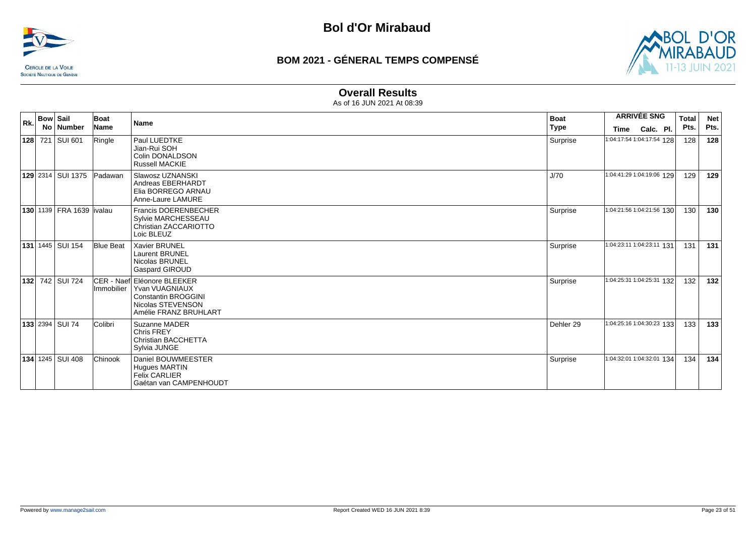![](_page_22_Picture_0.jpeg)

![](_page_22_Picture_3.jpeg)

### **Overall Results**

| Rk. | <b>Bow Sail</b> | No   Number                      | Boat<br>Name     | <b>Name</b>                                                                                                                              | <b>Boat</b><br>Type | Time                       | <b>ARRIVÉE SNG</b><br>Calc. Pl. | <b>Total</b><br>Pts. | <b>Net</b><br>Pts. |
|-----|-----------------|----------------------------------|------------------|------------------------------------------------------------------------------------------------------------------------------------------|---------------------|----------------------------|---------------------------------|----------------------|--------------------|
|     |                 | 128 721 SUI 601                  | Ringle           | Paul LUEDTKE<br>Jian-Rui SOH<br>Colin DONALDSON<br><b>Russell MACKIE</b>                                                                 | Surprise            | 1:04:17:54 1:04:17:54 128  |                                 | 128                  | 128                |
|     |                 | 129 2314 SUI 1375                | Padawan          | Slawosz UZNANSKI<br>Andreas EBERHARDT<br>Elia BORREGO ARNAU<br>Anne-Laure LAMURE                                                         | J/70                | 1:04:41:29 1:04:19:06 129  |                                 | 129                  | 129                |
|     |                 | <b>130 1139 FRA 1639 livalau</b> |                  | Francis DOERENBECHER<br>Sylvie MARCHESSEAU<br>Christian ZACCARIOTTO<br>Loic BLEUZ                                                        | Surprise            | 1:04:21:56 1:04:21:56 130  |                                 | 130                  | 130                |
|     |                 | <b>131</b> 1445   SUI 154        | <b>Blue Beat</b> | <b>Xavier BRUNEL</b><br><b>Laurent BRUNEL</b><br>Nicolas BRUNEL<br><b>Gaspard GIROUD</b>                                                 | Surprise            | 1:04:23:11 1:04:23:11 131  |                                 | 131                  | 131                |
|     |                 | 132 742 SUI 724                  |                  | ICER - Naefl Eléonore BLEEKER<br>Immobilier   Yvan VUAGNIAUX<br><b>Constantin BROGGINI</b><br>Nicolas STEVENSON<br>Amélie FRANZ BRUHLART | Surprise            | 1:04:25:31 1:04:25:31 132  |                                 | 132                  | 132                |
|     |                 | <b>133</b> 2394 SUI 74           | Colibri          | Suzanne MADER<br><b>Chris FREY</b><br><b>Christian BACCHETTA</b><br>Sylvia JUNGE                                                         | Dehler 29           | 1:04:25:16 1:04:30:23 133  |                                 | 133                  | 133                |
|     |                 | 134 1245 SUI 408                 | <b>Chinook</b>   | Daniel BOUWMEESTER<br><b>Hugues MARTIN</b><br><b>Felix CARLIER</b><br>Gaétan van CAMPENHOUDT                                             | Surprise            | 1:04:32:01 1:04:32:01 1:34 |                                 | 134                  | 134                |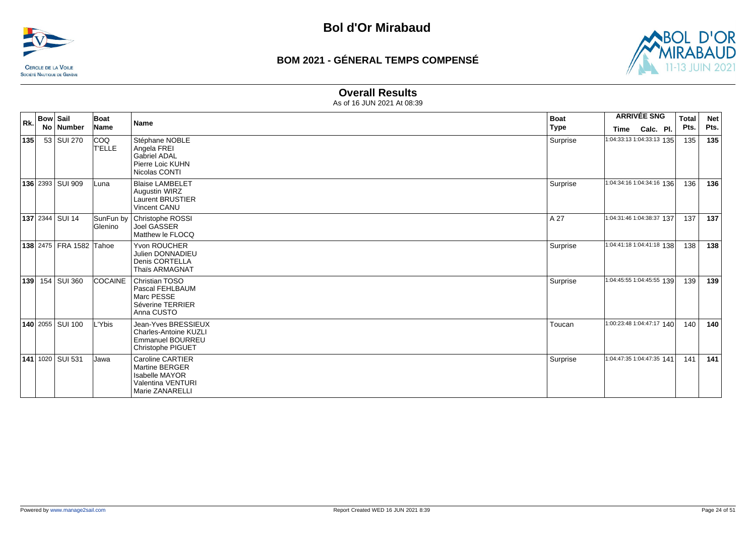![](_page_23_Picture_0.jpeg)

![](_page_23_Picture_3.jpeg)

### **Overall Results**

| Rk. | <b>Bow Sail</b> |                           | Boat                        | <b>Name</b>                                                                                                | <b>Boat</b> |                           | <b>ARRIVÉE SNG</b> | <b>Total</b> | <b>Net</b> |
|-----|-----------------|---------------------------|-----------------------------|------------------------------------------------------------------------------------------------------------|-------------|---------------------------|--------------------|--------------|------------|
|     |                 | No   Number               | <b>Name</b>                 |                                                                                                            | <b>Type</b> | Time                      | Calc. Pl.          | Pts.         | Pts.       |
| 135 |                 | 53 SUI 270                | Icoo<br>T'ELLE              | Stéphane NOBLE<br>Angela FREI<br>Gabriel ADAL<br>Pierre Loic KUHN<br>Nicolas CONTI                         | Surprise    | 1:04:33:13 1:04:33:13 135 |                    | 135          | 135        |
|     |                 | 136 2393 SUI 909          | Luna                        | <b>Blaise LAMBELET</b><br>Augustin WIRZ<br>Laurent BRUSTIER<br><b>Vincent CANU</b>                         | Surprise    | 1:04:34:16 1:04:34:16 136 |                    | 136          | 136        |
|     |                 | <b>137 2344 SUI 14</b>    | SunFun by<br><b>Glenino</b> | Christophe ROSSI<br><b>Joel GASSER</b><br>Matthew le FLOCQ                                                 | A 27        | 1:04:31:46 1:04:38:37 137 |                    | 137          | 137        |
|     |                 | 138 2475   FRA 1582 Tahoe |                             | Yvon ROUCHER<br><b>Julien DONNADIEU</b><br>Denis CORTELLA<br>Thaïs ARMAGNAT                                | Surprise    | 1:04:41:18 1:04:41:18 138 |                    | 138          | 138        |
| 139 |                 | 154 SUI 360               | <b>COCAINE</b>              | Christian TOSO<br>Pascal FEHLBAUM<br>Marc PESSE<br>Séverine TERRIER<br>Anna CUSTO                          | Surprise    | 1:04:45:55 1:04:45:55 139 |                    | 139          | 139        |
|     |                 | 140 2055 SUI 100          | Ybis-                       | Jean-Yves BRESSIEUX<br><b>Charles-Antoine KUZLI</b><br>Emmanuel BOURREU<br>Christophe PIGUET               | Toucan      | 1:00:23:48 1:04:47:17 140 |                    | 140          | 140        |
|     |                 | 141 1020 SUI 531          | Jawa                        | Caroline CARTIER<br><b>Martine BERGER</b><br><b>Isabelle MAYOR</b><br>Valentina VENTURI<br>Marie ZANARELLI | Surprise    | 1:04:47:35 1:04:47:35 141 |                    | 141          | 141        |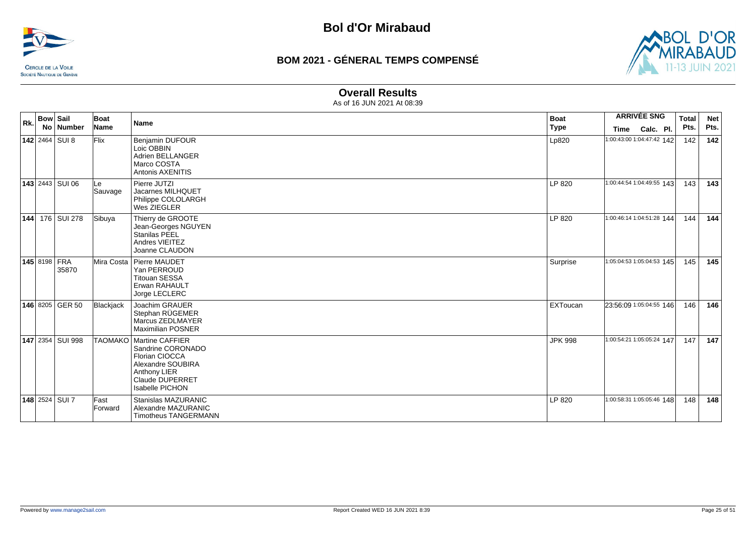![](_page_24_Picture_0.jpeg)

![](_page_24_Picture_3.jpeg)

### **Overall Results**

| Rk. | <b>Bow Sail</b> |                        | Boat            | <b>Name</b>                                                                                                                                               | <b>Boat</b>    | <b>ARRIVÉE SNG</b>        |           | <b>Total</b> | <b>Net</b> |
|-----|-----------------|------------------------|-----------------|-----------------------------------------------------------------------------------------------------------------------------------------------------------|----------------|---------------------------|-----------|--------------|------------|
|     |                 | No Number              | Name            |                                                                                                                                                           | <b>Type</b>    | Time                      | Calc. Pl. | Pts.         | Pts.       |
|     |                 | <b>142</b> 2464 SUI 8  | <b>Flix</b>     | Benjamin DUFOUR<br>Loic OBBIN<br>Adrien BELLANGER<br>Marco COSTA<br><b>Antonis AXENITIS</b>                                                               | Lp820          | 1:00:43:00 1:04:47:42 142 |           | 142          | 142        |
|     |                 | <b>143</b> 2443 SUI 06 | Le<br>Sauvage   | Pierre JUTZI<br>Jacarnes MILHQUET<br>Philippe COLOLARGH<br>Wes ZIEGLER                                                                                    | LP 820         | 1:00:44:54 1:04:49:55 143 |           | 143          | 143        |
|     |                 | 144 176 SUI 278        | Sibuya          | Thierry de GROOTE<br>Jean-Georges NGUYEN<br>Stanilas PEEL<br>Andres VIEITEZ<br>Joanne CLAUDON                                                             | LP 820         | 1:00:46:14 1:04:51:28 144 |           | ا 144        | 144        |
|     | 145 8198 FRA    | 35870                  |                 | Mira Costa   Pierre MAUDET<br>Yan PERROUD<br><b>Titouan SESSA</b><br>Erwan RAHAULT<br>Jorge LECLERC                                                       | Surprise       | 1:05:04:53 1:05:04:53 145 |           | 145          | 145        |
|     |                 | 146 8205 GER 50        | Blackjack       | Joachim GRAUER<br>Stephan RÜGEMER<br>Marcus ZEDLMAYER<br>Maximilian POSNER                                                                                | EXToucan       | 23:56:09 1:05:04:55 146   |           | 146          | 146        |
|     |                 | 147 2354 SUI 998       |                 | TAOMAKO   Martine CAFFIER<br>Sandrine CORONADO<br>Florian CIOCCA<br>Alexandre SOUBIRA<br>Anthony LIER<br><b>Claude DUPERRET</b><br><b>Isabelle PICHON</b> | <b>JPK 998</b> | 1:00:54:21 1:05:05:24 147 |           | 147          | 147        |
|     |                 | 148 2524 SUI 7         | Fast<br>Forward | Stanislas MAZURANIC<br>Alexandre MAZURANIC<br><b>Timotheus TANGERMANN</b>                                                                                 | LP 820         | 1:00:58:31 1:05:05:46 148 |           | 148          | 148        |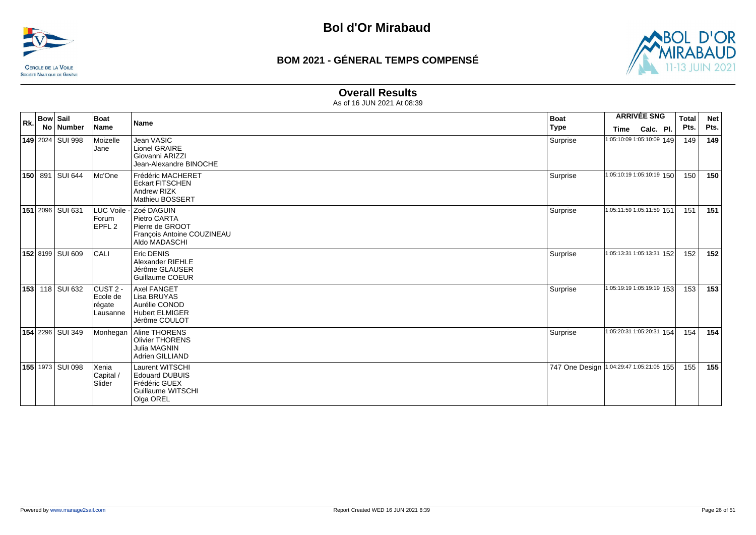![](_page_25_Picture_0.jpeg)

![](_page_25_Picture_3.jpeg)

### **Overall Results**

| Rk. | <b>Bow Sail</b> | No   Number        | Boat<br>Name                                | <b>Name</b>                                                                                  | <b>Boat</b><br><b>Type</b> | <b>ARRIVÉE SNG</b><br>Calc. Pl.<br>Time    | <b>Total</b><br>Pts. | <b>Net</b><br>Pts. |
|-----|-----------------|--------------------|---------------------------------------------|----------------------------------------------------------------------------------------------|----------------------------|--------------------------------------------|----------------------|--------------------|
|     |                 | 149 2024   SUI 998 | Moizelle<br><b>Jane</b>                     | Jean VASIC<br>Lionel GRAIRE<br>Giovanni ARIZZI<br>Jean-Alexandre BINOCHE                     | Surprise                   | 1:05:10:09 1:05:10:09 149                  | 149                  | 149                |
|     |                 | 150 891 SUI 644    | Mc'One                                      | Frédéric MACHERET<br><b>Eckart FITSCHEN</b><br>Andrew RIZK<br>Mathieu BOSSERT                | Surprise                   | 1:05:10:19 1:05:10:19 150                  | 150                  | 150                |
|     |                 | 151 2096   SUI 631 | LUC Voile -<br>Forum<br>EPFL <sub>2</sub>   | Zoé DAGUIN<br>Pietro CARTA<br>Pierre de GROOT<br>François Antoine COUZINEAU<br>Aldo MADASCHI | Surprise                   | 1:05:11:59 1:05:11:59 151                  | 151                  | 151                |
|     |                 | 152 8199 SUI 609   | <b>CALI</b>                                 | Eric DENIS<br>Alexander RIEHLE<br>Jérôme GLAUSER<br>Guillaume COEUR                          | Surprise                   | 1:05:13:31 1:05:13:31 152                  | 152                  | 152                |
| 153 |                 | 118 SUI 632        | $CUST2 -$<br>Ecole de<br>régate<br>Lausanne | <b>Axel FANGET</b><br>Lisa BRUYAS<br>Aurélie CONOD<br><b>Hubert ELMIGER</b><br>Jérôme COULOT | Surprise                   | 1:05:19:19 1:05:19:19 153                  | 153                  | 153                |
|     |                 | 154 2296 SUI 349   | Monhegan                                    | Aline THORENS<br><b>Olivier THORENS</b><br>Julia MAGNIN<br>Adrien GILLIAND                   | Surprise                   | 1:05:20:31 1:05:20:31 154                  | 154                  | 154                |
|     |                 | 155 1973 SUI 098   | Xenia<br>Capital /<br>Slider                | Laurent WITSCHI<br><b>Edouard DUBUIS</b><br>Frédéric GUEX<br>Guillaume WITSCHI<br>Olga OREL  |                            | 747 One Design   1:04:29:47 1:05:21:05 155 | 155                  | 155                |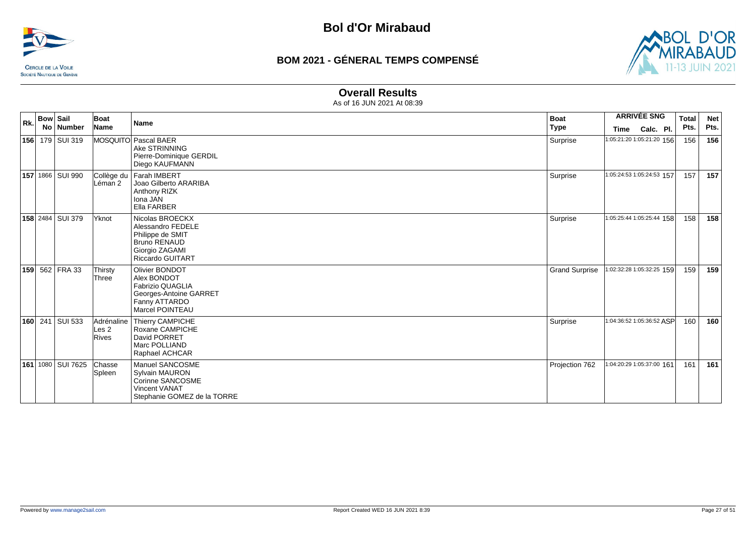![](_page_26_Picture_0.jpeg)

![](_page_26_Picture_3.jpeg)

#### **Overall Results**

| Rk. | <b>Bow Sail</b> | No   Number        | Boat<br>Name              | Name                                                                                                                         | <b>Boat</b><br><b>Type</b> | <b>ARRIVÉE SNG</b><br>Calc. Pl.<br>Time | <b>Total</b><br>Pts. | <b>Net</b><br>Pts. |
|-----|-----------------|--------------------|---------------------------|------------------------------------------------------------------------------------------------------------------------------|----------------------------|-----------------------------------------|----------------------|--------------------|
|     |                 | 156 179 SUI 319    |                           | MOSQUITO Pascal BAER<br>Ake STRINNING<br>Pierre-Dominique GERDIL<br>Diego KAUFMANN                                           | Surprise                   | 1:05:21:20 1:05:21:20 156               | 156                  | 156                |
|     |                 | 157 1866   SUI 990 | Collège du<br>Léman 2     | Farah IMBERT<br>Joao Gilberto ARARIBA<br>Anthony RIZK<br>Iona JAN<br>Ella FARBER                                             | Surprise                   | 1:05:24:53 1:05:24:53 157               | 157                  | 157                |
|     |                 | 158 2484 SUI 379   | Yknot                     | Nicolas BROECKX<br>Alessandro FEDELE<br>Philippe de SMIT<br><b>Bruno RENAUD</b><br>Giorgio ZAGAMI<br><b>Riccardo GUITART</b> | Surprise                   | 1:05:25:44 1:05:25:44 158               | 158                  | 158                |
|     |                 | 159 562 FRA 33     | Thirsty<br>Three          | Olivier BONDOT<br>Alex BONDOT<br>Fabrizio QUAGLIA<br>Georges-Antoine GARRET<br>Fanny ATTARDO<br>Marcel POINTEAU              | <b>Grand Surprise</b>      | 1:02:32:28 1:05:32:25 159               | 159                  | 159                |
|     |                 | 160 241 SUI 533    | Les <sub>2</sub><br>Rives | Adrénaline   Thierry CAMPICHE<br>Roxane CAMPICHE<br>David PORRET<br>Marc POLLIAND<br>Raphael ACHCAR                          | Surprise                   | 1:04:36:52 1:05:36:52 ASP               | 160                  | 160                |
|     |                 | 161 1080 SUI 7625  | Chasse<br>Spleen          | Manuel SANCOSME<br><b>Sylvain MAURON</b><br>Corinne SANCOSME<br><b>Vincent VANAT</b><br>Stephanie GOMEZ de la TORRE          | Projection 762             | 1:04:20:29 1:05:37:00 161               | 161                  | 161                |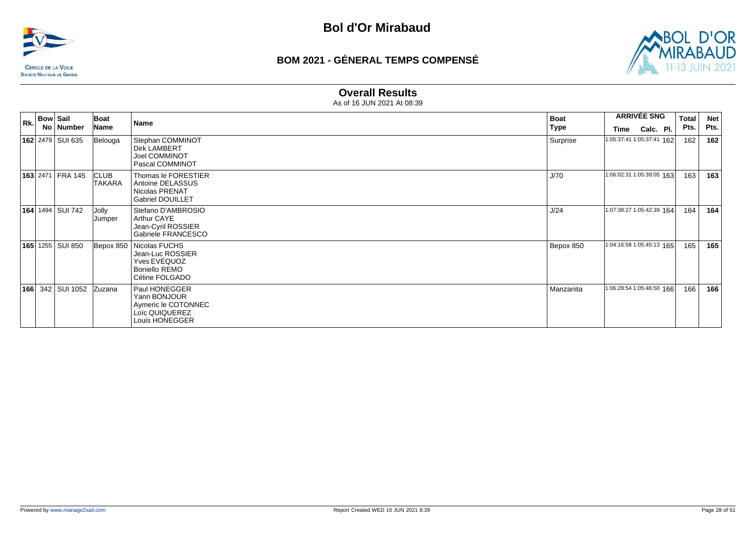![](_page_27_Picture_0.jpeg)

![](_page_27_Picture_3.jpeg)

#### **Overall Results**

| Rk. | <b>Bow Sail</b>           | No Number               | Boat<br>Name          | Name                                                                                             | <b>Boat</b><br>Type |                           | <b>ARRIVÉE SNG</b><br>Time Calc. Pl. | Total<br>Pts. | <b>Net</b><br>Pts. |
|-----|---------------------------|-------------------------|-----------------------|--------------------------------------------------------------------------------------------------|---------------------|---------------------------|--------------------------------------|---------------|--------------------|
|     | 162 2479 SUI 635          |                         | Belouga               | Stephan COMMINOT<br><b>Dirk LAMBERT</b><br>Joel COMMINOT<br>Pascal COMMINOT                      | Surprise            | 1:05:37:41 1:05:37:41 162 |                                      | 162           | 162                |
|     |                           | <b>163 2471 FRA 145</b> | <b>CLUB</b><br>TAKARA | Thomas le FORESTIER<br>Antoine DELASSUS<br>Nicolas PRENAT<br><b>Gabriel DOUILLET</b>             | J/70                | 1:06:02:31 1:05:39:05 163 |                                      | 163           | 163                |
|     | <b>164</b> 1494 SUI 742   |                         | Jolly<br>Jumper       | Stefano D'AMBROSIO<br>Arthur CAYE<br>Jean-Cyril ROSSIER<br>Gabriele FRANCESCO                    | J/24                | 1:07:38:27 1:05:42:39 164 |                                      | 164           | 164                |
|     | <b>165</b> 1255   SUI 850 |                         |                       | Bepox 850   Nicolas FUCHS<br>Jean-Luc ROSSIER<br>Yves EVEQUOZ<br>Boniello REMO<br>Céline FOLGADO | Bepox 850           | 1:04:16:58 1:05:45:13 165 |                                      | 165           | 165                |
|     |                           | <b>166</b> 342 SUI 1052 | Zuzana                | Paul HONEGGER<br>Yann BONJOUR<br>Aymeric le COTONNEC<br>Loïc QUIQUEREZ<br>Louis HONEGGER         | Manzanita           | 1:06:28:54 1:05:46:50 166 |                                      | 166           | 166                |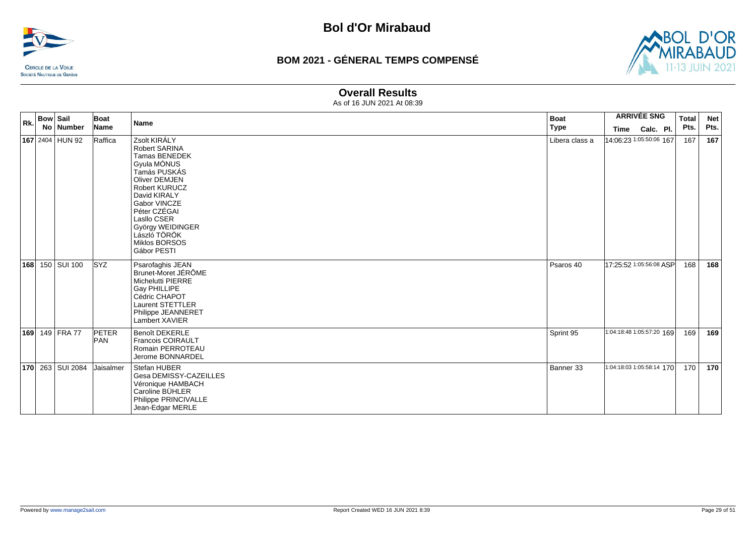![](_page_28_Picture_0.jpeg)

![](_page_28_Picture_3.jpeg)

### **Overall Results**

| Rk. | <b>Bow Sail</b><br>No Number | Boat<br>Name        | <b>Name</b>                                                                                                                                                                                                                                               | <b>Boat</b><br><b>Type</b> | Time                      | <b>ARRIVÉE SNG</b><br>Calc. Pl. | <b>Total</b><br>Pts. | <b>Net</b><br>Pts. |
|-----|------------------------------|---------------------|-----------------------------------------------------------------------------------------------------------------------------------------------------------------------------------------------------------------------------------------------------------|----------------------------|---------------------------|---------------------------------|----------------------|--------------------|
|     | 167 2404 HUN 92              | Raffica             | Zsolt KIRÁLY<br><b>Robert SARINA</b><br>Tamas BENEDEK<br>Gyula MÓNUS<br>Tamás PUSKÁS<br>Oliver DEMJEN<br>Robert KURUCZ<br>David KIRALY<br>Gabor VINCZE<br>Péter CZÉGAI<br>Lasllo CSER<br>György WEIDINGER<br>László TÖRÖK<br>Miklos BORSOS<br>Gábor PESTI | Libera class a             | 14:06:23 1:05:50:06 167   |                                 | 167                  | 167                |
|     | 168 150 SUI 100              | <b>SYZ</b>          | Psarofaghis JEAN<br>Brunet-Moret JÉRÔME<br>Michelutti PIERRE<br>Gay PHILLIPE<br>Cédric CHAPOT<br>Laurent STETTLER<br>Philippe JEANNERET<br>Lambert XAVIER                                                                                                 | Psaros 40                  | 17:25:52 1:05:56:08 ASP   |                                 | 168                  | 168                |
|     | 169 149 FRA 77               | <b>PETER</b><br>PAN | <b>Benoît DEKERLE</b><br><b>Francois COIRAULT</b><br>Romain PERROTEAU<br>Jerome BONNARDEL                                                                                                                                                                 | Sprint 95                  | 1:04:18:48 1:05:57:20 169 |                                 | 169 l                | 169                |
|     | 170 263 SUI 2084             | Jaisalmer           | Stefan HUBER<br>Gesa DEMISSY-CAZEILLES<br>Véronique HAMBACH<br>Caroline BÜHLER<br>Philippe PRINCIVALLE<br>Jean-Edgar MERLE                                                                                                                                | Banner 33                  | 1:04:18:03 1:05:58:14 170 |                                 | 170                  | 170                |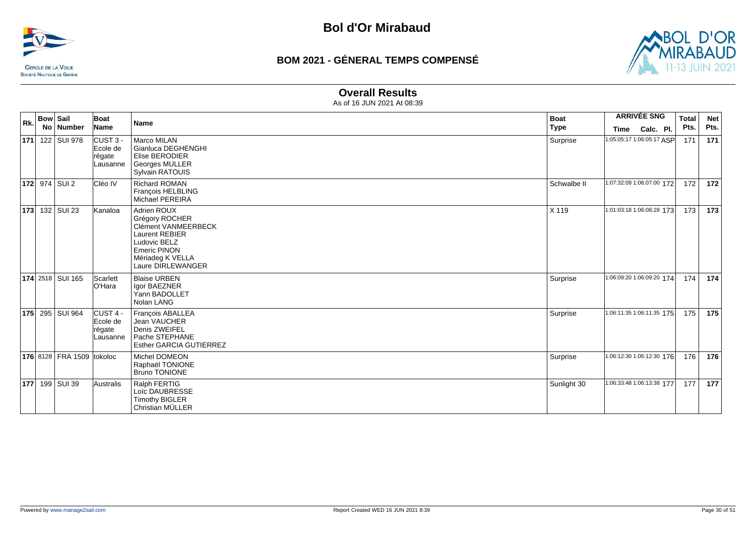![](_page_29_Picture_0.jpeg)

![](_page_29_Picture_3.jpeg)

#### **Overall Results**

| Rk. | <b>Bow Sail</b>           | Boat                                                   | Name                                                                                                                                                                 | <b>Boat</b> |      | <b>ARRIVÉE SNG</b>        | Total | <b>Net</b> |
|-----|---------------------------|--------------------------------------------------------|----------------------------------------------------------------------------------------------------------------------------------------------------------------------|-------------|------|---------------------------|-------|------------|
|     | No Number                 | Name                                                   |                                                                                                                                                                      | <b>Type</b> | Time | Calc. Pl.                 | Pts.  | Pts.       |
|     | 171 122 SUI 978           | $CUST3 -$<br>Ecole de<br>régate<br>Lausanne            | Marco MILAN<br>Gianluca DEGHENGHI<br>Elise BERODIER<br>Georges MULLER<br><b>Sylvain RATOUIS</b>                                                                      | Surprise    |      | 1:05:05:17 1:06:05:17 ASP | 171   | 171        |
|     | <b>172</b> 974 SUI 2      | Cléo IV                                                | <b>Richard ROMAN</b><br>François HELBLING<br>Michael PEREIRA                                                                                                         | Schwalbe II |      | 1:07:32:09 1:06:07:00 172 | 172   | 172        |
|     | <b>173</b> 132 SUI 23     | Kanaloa                                                | Adrien ROUX<br>Grégory ROCHER<br><b>Clément VANMEERBECK</b><br><b>Laurent REBIER</b><br>Ludovic BELZ<br><b>Emeric PINON</b><br>Mériadeg K VELLA<br>Laure DIRLEWANGER | X 119       |      | 1:01:03:18 1:06:08:28 173 | 173   | 173        |
|     | <b>174 2518 SUI 165</b>   | Scarlett<br>lO'Hara                                    | <b>Blaise URBEN</b><br>Igor BAEZNER<br>Yann BADOLLET<br>Nolan LANG                                                                                                   | Surprise    |      | 1:06:09:20 1:06:09:20 174 | 174   | 174        |
|     | 175 295 SUI 964           | ICUST <sub>4</sub> -<br>Ecole de<br>régate<br>Lausanne | François ABALLEA<br>Jean VAUCHER<br>Denis ZWEIFEL<br>Pache STEPHANE<br>Esther GARCIA GUTIERREZ                                                                       | Surprise    |      | 1:06:11:35 1:06:11:35 175 | 175   | 175        |
|     | 176 8128 FRA 1509 tokoloc |                                                        | Michel DOMEON<br>Raphaël TONIONE<br><b>Bruno TONIONE</b>                                                                                                             | Surprise    |      | 1:06:12:30 1:06:12:30 176 | 176   | 176        |
|     | 177 199 SUI 39            | Australis                                              | Ralph FERTIG<br>Loïc DAUBRESSE<br><b>Timothy BIGLER</b><br>Christian MÜLLER                                                                                          | Sunlight 30 |      | 1:06:33:48 1:06:13:38 177 | 177   | 177        |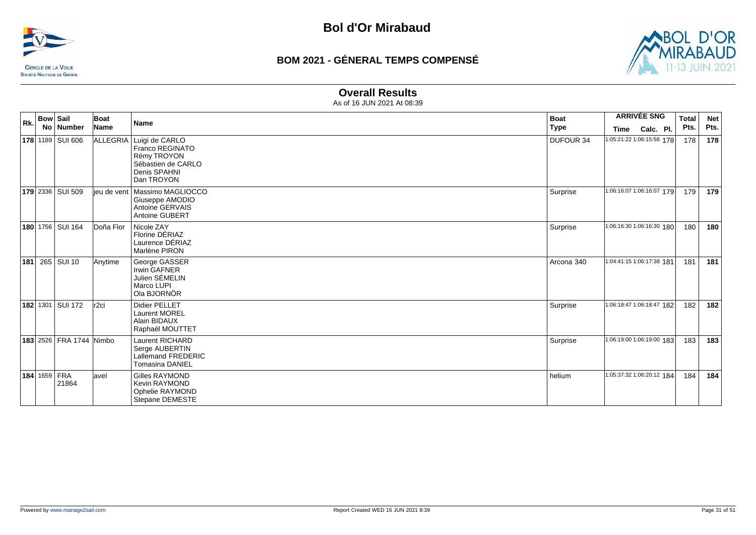![](_page_30_Picture_0.jpeg)

![](_page_30_Picture_3.jpeg)

#### **Overall Results**

| Rk. | <b>Bow Sail</b><br>No   Number | Boat<br>Name     | Name                                                                                                          | <b>Boat</b><br><b>Type</b> | <b>ARRIVÉE SNG</b><br>Calc. Pl.<br>Time | <b>Total</b><br>Pts. | <b>Net</b><br>Pts. |
|-----|--------------------------------|------------------|---------------------------------------------------------------------------------------------------------------|----------------------------|-----------------------------------------|----------------------|--------------------|
|     | 178 1189 SUI 606               |                  | ALLEGRIA Luigi de CARLO<br>Franco REGINATO<br>Rémy TROYON<br>Sébastien de CARLO<br>Denis SPAHNI<br>Dan TROYON | <b>DUFOUR 34</b>           | 1:05:21:22 1:06:15:58 178               | 178                  | 178                |
|     | <b>179</b> 2336 SUI 509        | lieu de vent     | Massimo MAGLIOCCO<br>Giuseppe AMODIO<br>Antoine GERVAIS<br>Antoine GUBERT                                     | Surprise                   | 1:06:16:07 1:06:16:07 179               | 179                  | 179                |
|     | 180 1756 SUI 164               | Doña Flor        | Nicole ZAY<br>Florine DÉRIAZ<br>Laurence DÉRIAZ<br>Marlène PIRON                                              | Surprise                   | 1:06:16:30 1:06:16:30 180               | 180                  | 180                |
| 181 | 265 SUI 10                     | Anytime          | George GASSER<br>Irwin GAFNER<br>Julien SÉMELIN<br>Marco LUPI<br>Ola BJORNÖR                                  | Arcona 340                 | 1:04:41:15 1:06:17:38 181               | 181                  | 181                |
|     | <b>182 1301 SUI 172</b>        | r <sub>2ci</sub> | <b>Didier PELLET</b><br><b>Laurent MOREL</b><br>Alain BIDAUX<br>Raphaël MOUTTET                               | Surprise                   | 1:06:18:47 1:06:18:47 182               | 182                  | 182                |
|     | 183 2526 FRA 1744 Nimbo        |                  | <b>Laurent RICHARD</b><br>Serge AUBERTIN<br>Lallemand FREDERIC<br><b>Tomasina DANIEL</b>                      | Surprise                   | 1:06:19:00 1:06:19:00 183               | 183                  | 183                |
|     | <b>184 1659 FRA</b><br>21864   | lavel            | <b>Gilles RAYMOND</b><br>Kevin RAYMOND<br>Ophelie RAYMOND<br>Stepane DEMESTE                                  | helium                     | 1:05:37:32 1:06:20:12 184               | 184 l                | 184                |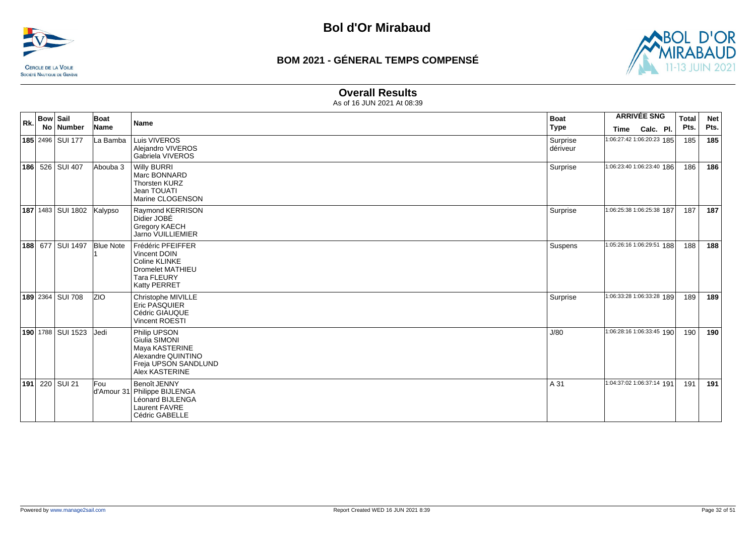![](_page_31_Picture_0.jpeg)

![](_page_31_Picture_3.jpeg)

### **Overall Results**

| Rk. | <b>Bow Sail</b> | No   Number               | Boat<br>Name     | <b>Name</b>                                                                                                         | <b>Boat</b><br><b>Type</b> | <b>ARRIVÉE SNG</b><br>Time | Calc. Pl. | <b>Total</b><br>Pts. | <b>Net</b><br>Pts. |
|-----|-----------------|---------------------------|------------------|---------------------------------------------------------------------------------------------------------------------|----------------------------|----------------------------|-----------|----------------------|--------------------|
|     |                 | 185 2496 SUI 177          | La Bamba         | Luis VIVEROS<br>Alejandro VIVEROS<br>Gabriela VIVEROS                                                               | Surprise<br>dériveur       | 1:06:27:42 1:06:20:23 185  |           | 185                  | 185                |
|     |                 | 186 526 SUI 407           | Abouba 3         | <b>Willy BURRI</b><br>Marc BONNARD<br><b>Thorsten KURZ</b><br>Jean TOUATI<br>Marine CLOGENSON                       | Surprise                   | 1:06:23:40 1:06:23:40 186  |           | 186                  | 186                |
|     |                 | 187 1483 SUI 1802 Kalypso |                  | Raymond KERRISON<br>Didier JOBÉ<br>Gregory KAECH<br>Jarno VUILLIEMIER                                               | Surprise                   | 1:06:25:38 1:06:25:38 187  |           | 187                  | 187                |
|     |                 | 188 677 SUI 1497          | <b>Blue Note</b> | Frédéric PFEIFFER<br>Vincent DOIN<br>Coline KLINKE<br><b>Dromelet MATHIEU</b><br><b>Tara FLEURY</b><br>Katty PERRET | Suspens                    | 1:05:26:16 1:06:29:51 188  |           | 188                  | 188                |
|     |                 | 189 2364 SUI 708          | <b>ZIO</b>       | Christophe MIVILLE<br><b>Eric PASQUIER</b><br>Cédric GIAUQUE<br><b>Vincent ROESTI</b>                               | Surprise                   | 1:06:33:28 1:06:33:28 189  |           | 189                  | 189                |
|     |                 | 190 1788   SUI 1523       | <b>Jedi</b>      | Philip UPSON<br>Giulia SIMONI<br>Maya KASTERINE<br>Alexandre QUINTINO<br>Freja UPSON SANDLUND<br>Alex KASTERINE     | J/80                       | 1:06:28:16 1:06:33:45 190  |           | 190                  | 190                |
| 191 |                 | 220 SUI 21                | Fou              | Benoît JENNY<br>d'Amour 31 Philippe BIJLENGA<br>Léonard BIJLENGA<br>Laurent FAVRE<br>Cédric GABELLE                 | A 31                       | 1:04:37:02 1:06:37:14 191  |           | 191                  | 191                |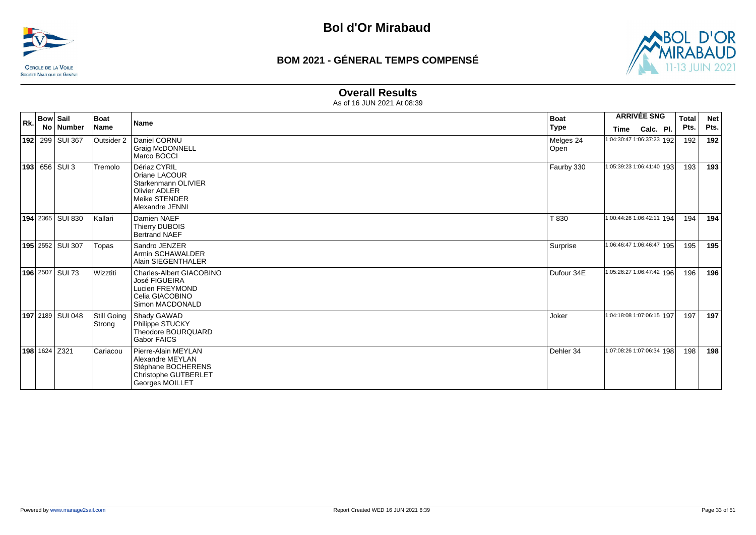![](_page_32_Picture_0.jpeg)

![](_page_32_Picture_3.jpeg)

#### **Overall Results**

| Rk. | <b>Bow Sail</b> | No   Number          | Boat<br>Name          | <b>Name</b>                                                                                               | <b>Boat</b><br>Type | <b>ARRIVÉE SNG</b><br>Calc. Pl.<br>Time | <b>Total</b><br>Pts. | <b>Net</b><br>Pts. |
|-----|-----------------|----------------------|-----------------------|-----------------------------------------------------------------------------------------------------------|---------------------|-----------------------------------------|----------------------|--------------------|
|     |                 | 192 299 SUI 367      | Outsider 2            | Daniel CORNU<br>Graig McDONNELL<br>Marco BOCCI                                                            | Melges 24<br>Open   | 1:04:30:47 1:06:37:23 192               | 192                  | 192                |
|     |                 | <b>193</b> 656 SUI 3 | Tremolo               | Dériaz CYRIL<br>Oriane LACOUR<br>Starkenmann OLIVIER<br>Olivier ADLER<br>Meike STENDER<br>Alexandre JENNI | Faurby 330          | 1:05:39:23 1:06:41:40 193               | 193                  | 193                |
|     |                 | 194 2365 SUI 830     | İKallari              | Damien NAEF<br>Thierry DUBOIS<br><b>Bertrand NAEF</b>                                                     | T 830               | 1:00:44:26 1:06:42:11 194               | 194                  | 194                |
|     |                 | 195 2552 SUI 307     | Topas                 | Sandro JENZER<br>Armin SCHAWALDER<br>Alain SIEGENTHALER                                                   | Surprise            | 1:06:46:47 1:06:46:47 195               | 195                  | 195                |
|     |                 | 196 2507 SUI 73      | Wizztiti              | Charles-Albert GIACOBINO<br>José FIGUEIRA<br>Lucien FREYMOND<br>Celia GIACOBINO<br>Simon MACDONALD        | Dufour 34E          | 1:05:26:27 1:06:47:42 196               | 196                  | 196                |
|     |                 | 197 2189 SUI 048     | Still Going<br>Strong | Shady GAWAD<br>Philippe STUCKY<br>Theodore BOURQUARD<br>Gabor FAICS                                       | Joker               | 1:04:18:08 1:07:06:15 197               | 197                  | 197                |
|     |                 | 198 1624 Z321        | Cariacou              | Pierre-Alain MEYLAN<br>Alexandre MEYLAN<br>Stéphane BOCHERENS<br>Christophe GUTBERLET<br>Georges MOILLET  | Dehler 34           | 1:07:08:26 1:07:06:34 198               | 198                  | 198                |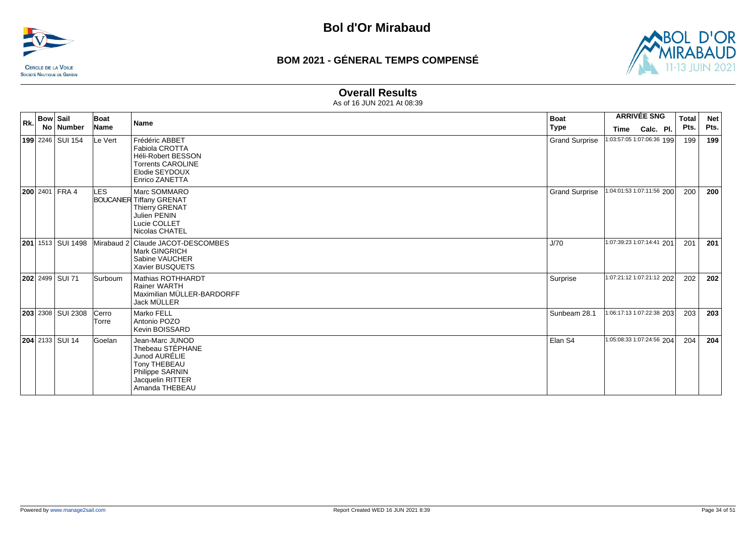![](_page_33_Picture_0.jpeg)

![](_page_33_Picture_3.jpeg)

#### **Overall Results**

| Rk. | <b>Bow Sail</b>            | Boat                  | <b>Name</b>                                                                                                                          | <b>Boat</b>           | <b>ARRIVÉE SNG</b>        | <b>Total</b> | <b>Net</b> |
|-----|----------------------------|-----------------------|--------------------------------------------------------------------------------------------------------------------------------------|-----------------------|---------------------------|--------------|------------|
|     | No Number                  | <b>Name</b>           |                                                                                                                                      | <b>Type</b>           | Calc. Pl.<br>Time         | Pts.         | Pts.       |
|     | 199 2246 SUI 154           | Le Vert               | Frédéric ABBET<br><b>Fabiola CROTTA</b><br><b>Héli-Robert BESSON</b><br><b>Torrents CAROLINE</b><br>Elodie SEYDOUX<br>Enrico ZANETTA | <b>Grand Surprise</b> | 1:03:57:05 1:07:06:36 199 | 199          | 199        |
|     | <b>200</b> 2401 FRA 4      | LES.                  | Marc SOMMARO<br><b>BOUCANIER Tiffany GRENAT</b><br><b>Thierry GRENAT</b><br>Julien PENIN<br>Lucie COLLET<br>Nicolas CHATEL           | <b>Grand Surprise</b> | 1:04:01:53 1:07:11:56 200 | 200          | 200        |
|     | <b>201</b> 1513 SUI 1498   |                       | Mirabaud 2 Claude JACOT-DESCOMBES<br>Mark GINGRICH<br>Sabine VAUCHER<br>Xavier BUSQUETS                                              | J/70                  | 1:07:39:23 1:07:14:41 201 | 201          | 201        |
|     | <b>202</b> 2499 SUI 71     | Surboum               | Mathias ROTHHARDT<br>Rainer WARTH<br>Maximilian MÜLLER-BARDORFF<br><b>Jack MÜLLER</b>                                                | Surprise              | 1:07:21:12 1:07:21:12 202 | 202          | 202        |
|     | <b>203</b> 2308   SUI 2308 | Cerro<br><b>Torre</b> | Marko FELL<br>Antonio POZO<br>Kevin BOISSARD                                                                                         | Sunbeam 28.1          | 1:06:17:13 1:07:22:38 203 | 203          | 203        |
|     | 204 2133 SUI 14            | Goelan                | Jean-Marc JUNOD<br>Thebeau STÉPHANE<br>Junod AURÉLIE<br>Tony THEBEAU<br><b>Philippe SARNIN</b><br>Jacquelin RITTER<br>Amanda THEBEAU | Elan S4               | 1:05:08:33 1:07:24:56 204 | 204          | 204        |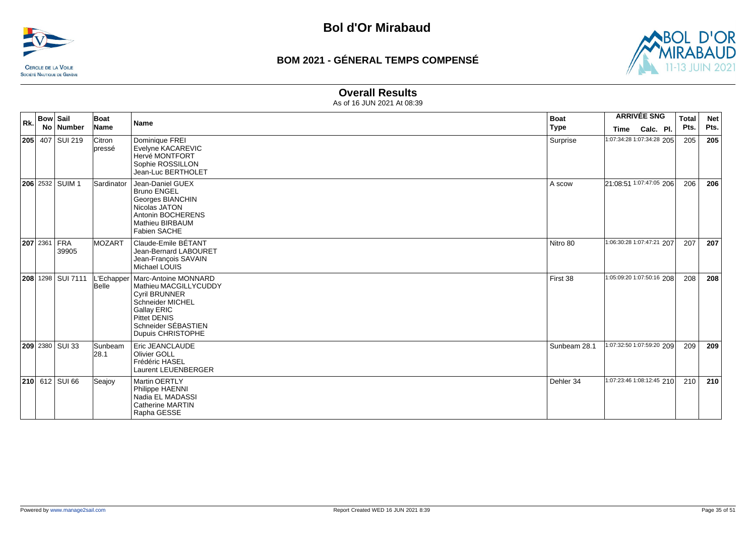![](_page_34_Picture_0.jpeg)

![](_page_34_Picture_3.jpeg)

#### **Overall Results**

| Rk. | <b>Bow Sail</b> |                              | Boat             | <b>Name</b>                                                                                                                                                                              | <b>Boat</b>  | <b>ARRIVÉE SNG</b>        | <b>Total</b> | <b>Net</b> |
|-----|-----------------|------------------------------|------------------|------------------------------------------------------------------------------------------------------------------------------------------------------------------------------------------|--------------|---------------------------|--------------|------------|
|     |                 | No Number                    | Name             |                                                                                                                                                                                          | <b>Type</b>  | Calc. Pl.<br>Time         | Pts.         | Pts.       |
|     |                 | <b>205</b> 407 SUI 219       | Citron<br>pressé | Dominique FREI<br>Evelyne KACAREVIC<br>Hervé MONTFORT<br>Sophie ROSSILLON<br>Jean-Luc BERTHOLET                                                                                          | Surprise     | 1:07:34:28 1:07:34:28 205 | 205          | 205        |
|     |                 | <b>206</b> 2532 SUIM 1       | Sardinator       | Jean-Daniel GUEX<br><b>Bruno ENGEL</b><br>Georges BIANCHIN<br>Nicolas JATON<br>Antonin BOCHERENS<br>Mathieu BIRBAUM<br>Fabien SACHE                                                      | A scow       | 21:08:51 1:07:47:05 206   | 206          | 206        |
|     |                 | <b>207</b> 2361 FRA<br>39905 | <b>IMOZART</b>   | Claude-Emile BÉTANT<br>Jean-Bernard LABOURET<br>Jean-François SAVAIN<br>Michael LOUIS                                                                                                    | Nitro 80     | 1:06:30:28 1:07:47:21 207 | 207          | 207        |
|     |                 | 208 1298 SUI 7111            | Belle            | -'Echapper   Marc-Antoine MONNARD<br>Mathieu MACGILLYCUDDY<br><b>Cyril BRUNNER</b><br>Schneider MICHEL<br><b>Gallay ERIC</b><br>Pittet DENIS<br>Schneider SÉBASTIEN<br>Dupuis CHRISTOPHE | First 38     | 1:05:09:20 1:07:50:16 208 | 208          | 208        |
|     |                 | 209 2380 SUI 33              | Sunbeam<br> 28.1 | Eric JEANCLAUDE<br>Olivier GOLL<br>Frédéric HASEL<br><b>Laurent LEUENBERGER</b>                                                                                                          | Sunbeam 28.1 | 1:07:32:50 1:07:59:20 209 | 209          | 209        |
|     |                 | <b>210</b> 612 SUI 66        | Seajoy           | Martin OERTLY<br>Philippe HAENNI<br>Nadia EL MADASSI<br><b>Catherine MARTIN</b><br>Rapha GESSE                                                                                           | Dehler 34    | 1:07:23:46 1:08:12:45 210 | 210          | 210        |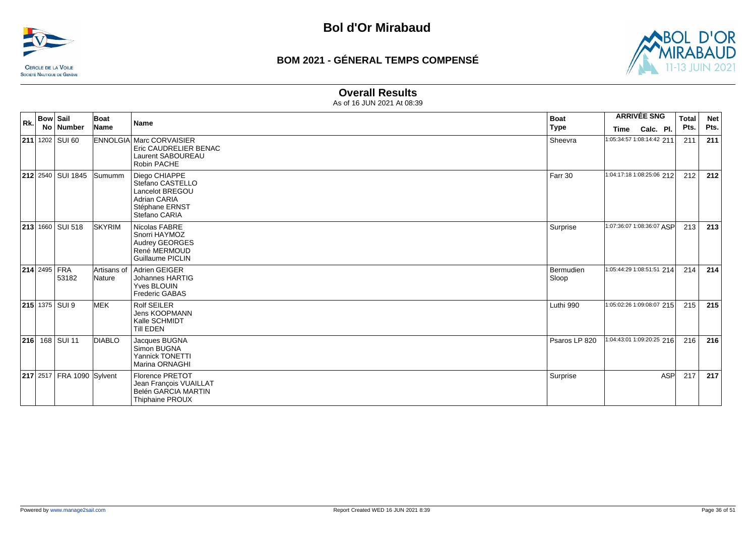![](_page_35_Picture_0.jpeg)

![](_page_35_Picture_3.jpeg)

#### **Overall Results**

| Rk. | <b>Bow Sail</b>     | No   Number               | Boat<br>Name          | Name                                                                                                           | <b>Boat</b><br><b>Type</b> | <b>ARRIVÉE SNG</b><br>Calc. Pl.<br>Time | <b>Total</b><br>Pts. | <b>Net</b><br>Pts. |
|-----|---------------------|---------------------------|-----------------------|----------------------------------------------------------------------------------------------------------------|----------------------------|-----------------------------------------|----------------------|--------------------|
|     |                     | <b>211</b> 1202   SUI 60  |                       | <b>ENNOLGIA Marc CORVAISIER</b><br>Eric CAUDRELIER BENAC<br>Laurent SABOUREAU<br>Robin PACHE                   | Sheevra                    | 1:05:34:57 1:08:14:42 211               | 211                  | 211                |
|     |                     | 212 2540 SUI 1845         | Sumumm                | Diego CHIAPPE<br>Stefano CASTELLO<br>Lancelot BREGOU<br><b>Adrian CARIA</b><br>Stéphane ERNST<br>Stefano CARIA | Farr 30                    | 1:04:17:18 1:08:25:06 212               | 212                  | 212                |
|     |                     | 213 1660 SUI 518          | <b>SKYRIM</b>         | Nicolas FABRE<br>Snorri HAYMOZ<br>Audrey GEORGES<br>René MERMOUD<br>Guillaume PICLIN                           | Surprise                   | 1:07:36:07 1:08:36:07 ASP               | 213                  | 213                |
|     | <b>214 2495 FRA</b> | 53182                     | Artisans of<br>Nature | Adrien GEIGER<br>Johannes HARTIG<br>Yves BLOUIN<br><b>Frederic GABAS</b>                                       | Bermudien<br>Sloop         | 1:05:44:29 1:08:51:51 214               | 214                  | 214                |
|     |                     | 215 1375 SUI 9            | MEK                   | <b>Rolf SEILER</b><br><b>Jens KOOPMANN</b><br>Kalle SCHMIDT<br>Till EDEN                                       | Luthi 990                  | 1:05:02:26 1:09:08:07 215               | 215                  | 215                |
|     |                     | 216 168 SUI 11            | <b>DIABLO</b>         | Jacques BUGNA<br>Simon BUGNA<br>Yannick TONETTI<br>Marina ORNAGHI                                              | Psaros LP 820              | 1:04:43:01 1:09:20:25 216               | 216                  | 216                |
|     |                     | 217 2517 FRA 1090 Sylvent |                       | <b>Florence PRETOT</b><br>Jean François VUAILLAT<br>Belén GARCIA MARTIN<br><b>Thiphaine PROUX</b>              | Surprise                   | <b>ASP</b>                              | 217                  | 217                |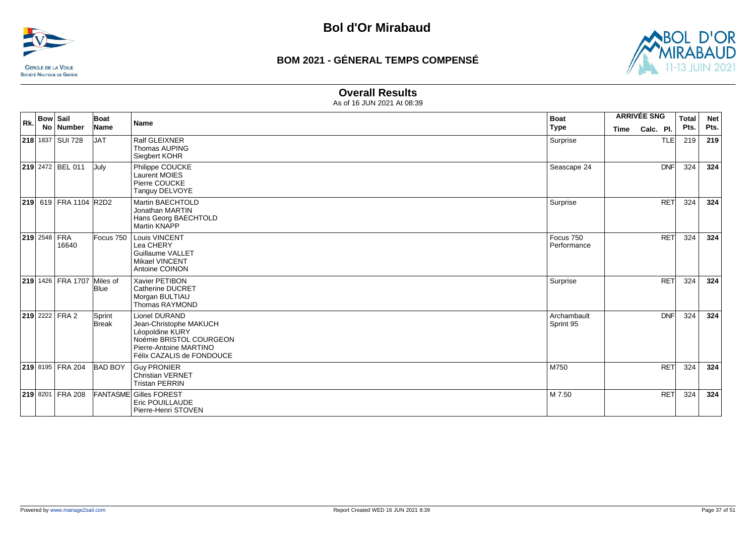![](_page_36_Picture_0.jpeg)

![](_page_36_Picture_3.jpeg)

### **Overall Results**

| Rk. | <b>Bow Sail</b> | No Number             | Boat<br>Name           | <b>Name</b>                                                                                                                                  | <b>Boat</b><br><b>Type</b> | <b>Time</b> | <b>ARRIVÉE SNG</b><br>Calc. Pl. |            | <b>Total</b><br>Pts. | <b>Net</b><br>Pts. |
|-----|-----------------|-----------------------|------------------------|----------------------------------------------------------------------------------------------------------------------------------------------|----------------------------|-------------|---------------------------------|------------|----------------------|--------------------|
|     |                 | 218 1837 SUI 728      | <b>JAT</b>             | <b>Ralf GLEIXNER</b><br><b>Thomas AUPING</b><br>Siegbert KOHR                                                                                | Surprise                   |             |                                 | <b>TLE</b> | 219                  | 219                |
|     |                 | 219 2472 BEL 011      | July                   | Philippe COUCKE<br><b>Laurent MOIES</b><br>Pierre COUCKE<br>Tanguy DELVOYE                                                                   | Seascape 24                |             |                                 | <b>DNF</b> | 324                  | 324                |
|     |                 | 219 619 FRA 1104 R2D2 |                        | <b>Martin BAECHTOLD</b><br>Jonathan MARTIN<br>Hans Georg BAECHTOLD<br><b>Martin KNAPP</b>                                                    | Surprise                   |             |                                 | <b>RET</b> | 324                  | 324                |
|     | 219 2548 FRA    | 16640                 | Focus 750              | Louis VINCENT<br>Lea CHERY<br><b>Guillaume VALLET</b><br><b>Mikael VINCENT</b><br>Antoine COINON                                             | Focus 750<br>Performance   |             |                                 | <b>RET</b> | 324                  | 324                |
|     |                 | 219 1426 FRA 1707     | Miles of<br>Blue       | Xavier PETIBON<br><b>Catherine DUCRET</b><br>Morgan BULTIAU<br>Thomas RAYMOND                                                                | Surprise                   |             |                                 | <b>RET</b> | 324                  | 324                |
|     |                 | <b>219</b> 2222 FRA 2 | Sprint<br><b>Break</b> | Lionel DURAND<br>Jean-Christophe MAKUCH<br>Léopoldine KURY<br>Noémie BRISTOL COURGEON<br>Pierre-Antoine MARTINO<br>Félix CAZALIS de FONDOUCE | Archambault<br>Sprint 95   |             |                                 | <b>DNF</b> | 324                  | 324                |
|     |                 | 219 8195 FRA 204      | <b>BAD BOY</b>         | <b>Guy PRONIER</b><br>Christian VERNET<br><b>Tristan PERRIN</b>                                                                              | M750                       |             |                                 | <b>RET</b> | 324                  | 324                |
|     |                 | 219 8201 FRA 208      |                        | <b>FANTASME Gilles FOREST</b><br>Eric POUILLAUDE<br>Pierre-Henri STOVEN                                                                      | M 7.50                     |             |                                 | <b>RET</b> | 324                  | 324                |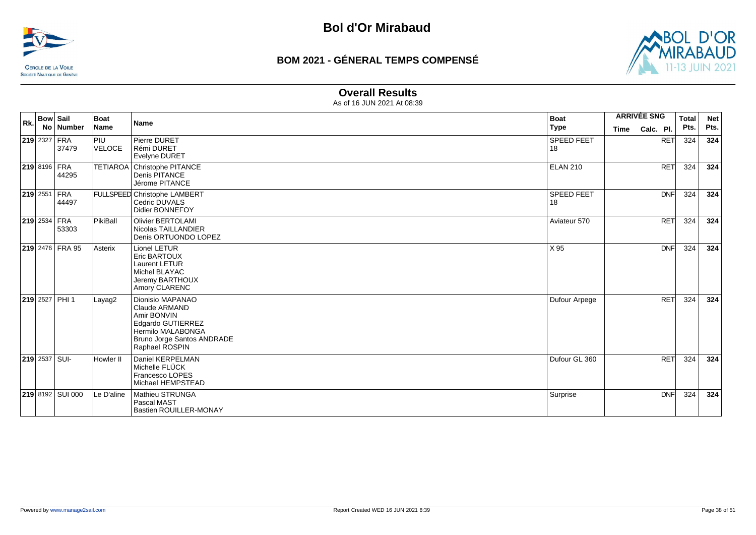![](_page_37_Picture_0.jpeg)

![](_page_37_Picture_3.jpeg)

#### **Overall Results**

| Rk. | <b>Bow Sail</b>     | No Number          | Boat<br>Name         | <b>Name</b>                                                                                                                                       | <b>Boat</b><br><b>Type</b> | <b>ARRIVÉE SNG</b><br>Time | Calc. Pl.  | <b>Total</b><br>Pts. | <b>Net</b><br>Pts. |
|-----|---------------------|--------------------|----------------------|---------------------------------------------------------------------------------------------------------------------------------------------------|----------------------------|----------------------------|------------|----------------------|--------------------|
|     | 219 2327 FRA        | 37479              | PIU<br><b>VELOCE</b> | Pierre DURET<br>Rémi DURET<br><b>Evelyne DURET</b>                                                                                                | SPEED FEET<br>18           |                            | <b>RET</b> | 324                  | 324                |
|     | <b>219 8196 FRA</b> | 44295              |                      | TETIAROA Christophe PITANCE<br>Denis PITANCE<br>Jérome PITANCE                                                                                    | <b>ELAN 210</b>            |                            | <b>RET</b> | 324                  | 324                |
|     | <b>219 2551 FRA</b> | 44497              |                      | FULLSPEED Christophe LAMBERT<br>Cedric DUVALS<br>Didier BONNEFOY                                                                                  | <b>SPEED FEET</b><br>18    |                            | <b>DNF</b> | 324                  | 324                |
|     | 219 2534 FRA        | 53303              | PikiBall             | <b>Olivier BERTOLAMI</b><br>Nicolas TAILLANDIER<br>Denis ORTUONDO LOPEZ                                                                           | Aviateur 570               |                            | <b>RET</b> | 324                  | 324                |
|     |                     | 219 2476 FRA 95    | Asterix              | Lionel LETUR<br>Eric BARTOUX<br>Laurent LETUR<br>Michel BLAYAC<br>Jeremy BARTHOUX<br>Amory CLARENC                                                | X 95                       |                            | <b>DNF</b> | 324                  | 324                |
|     |                     | $ 219 2527 $ PHI 1 | Layag2               | Dionisio MAPANAO<br><b>Claude ARMAND</b><br>Amir BONVIN<br>Edgardo GUTIERREZ<br>Hermilo MALABONGA<br>Bruno Jorge Santos ANDRADE<br>Raphael ROSPIN | Dufour Arpege              |                            | <b>RET</b> | 324                  | 324                |
|     | $219$ 2537 SUI-     |                    | Howler II            | Daniel KERPELMAN<br>Michelle FLÜCK<br>Francesco LOPES<br>Michael HEMPSTEAD                                                                        | Dufour GL 360              |                            | <b>RET</b> | 324                  | 324                |
|     |                     | 219 8192 SUI 000   | Le D'aline           | Mathieu STRUNGA<br>Pascal MAST<br>Bastien ROUILLER-MONAY                                                                                          | Surprise                   |                            | <b>DNF</b> | 324                  | 324                |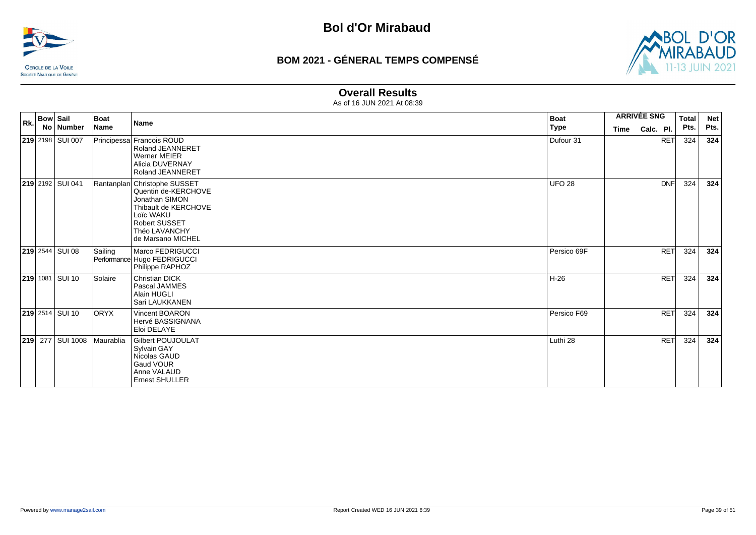![](_page_38_Picture_0.jpeg)

![](_page_38_Picture_3.jpeg)

#### **Overall Results**

| Rk. | <b>Bow Sail</b> | No Number              | Boat<br>Name | <b>Name</b>                                                                                                                                                              | <b>Boat</b><br><b>Type</b> | <b>ARRIVÉE SNG</b><br>Time<br>Calc. Pl. |  |            | <b>Total</b><br>Pts. | <b>Net</b><br>Pts. |
|-----|-----------------|------------------------|--------------|--------------------------------------------------------------------------------------------------------------------------------------------------------------------------|----------------------------|-----------------------------------------|--|------------|----------------------|--------------------|
|     |                 | 219 2198 SUI 007       |              | Principessa Francois ROUD<br>Roland JEANNERET<br>Werner MEIER<br>Alicia DUVERNAY<br><b>Roland JEANNERET</b>                                                              | Dufour 31                  |                                         |  | RET        | 324                  | 324                |
|     |                 | 219 2192 SUI 041       |              | Rantanplan Christophe SUSSET<br>Quentin de-KERCHOVE<br>Jonathan SIMON<br>Thibault de KERCHOVE<br>Loïc WAKU<br><b>Robert SUSSET</b><br>Théo LAVANCHY<br>de Marsano MICHEL | <b>UFO 28</b>              |                                         |  | <b>DNF</b> | 324                  | 324                |
|     |                 | <b>219</b> 2544 SUI 08 | Sailing      | Marco FEDRIGUCCI<br>Performance Hugo FEDRIGUCCI<br>Philippe RAPHOZ                                                                                                       | Persico 69F                |                                         |  | <b>RET</b> | 324                  | 324                |
|     |                 | <b>219</b> 1081 SUI 10 | Solaire      | <b>Christian DICK</b><br>Pascal JAMMES<br>Alain HUGLI<br>Sari LAUKKANEN                                                                                                  | $H-26$                     |                                         |  | RET        | 324                  | 324                |
|     |                 | $219$ 2514 SUI 10      | <b>ORYX</b>  | Vincent BOARON<br>Hervé BASSIGNANA<br>Eloi DELAYE                                                                                                                        | Persico F69                |                                         |  | <b>RET</b> | 324                  | 324                |
|     |                 | 219 277 SUI 1008       | Maurablia    | <b>Gilbert POUJOULAT</b><br>Sylvain GAY<br>Nicolas GAUD<br>Gaud VOUR<br>Anne VALAUD<br><b>Ernest SHULLER</b>                                                             | Luthi 28                   |                                         |  | <b>RET</b> | 324                  | 324                |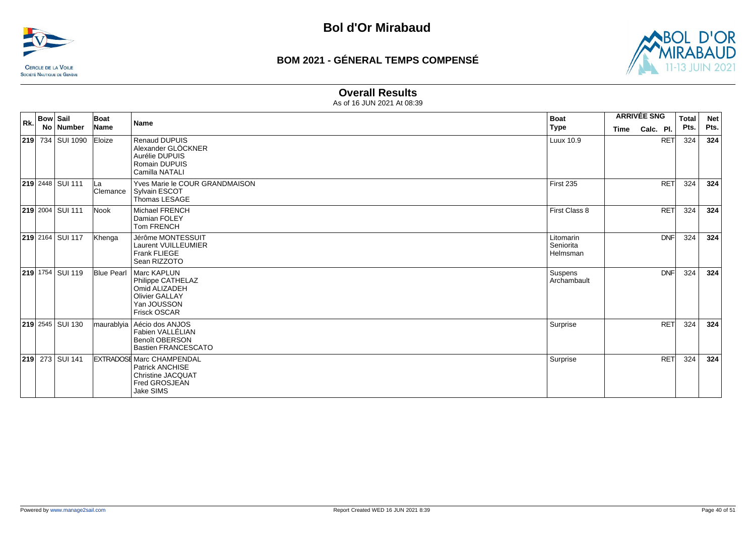![](_page_39_Picture_0.jpeg)

![](_page_39_Picture_3.jpeg)

## **Overall Results**

| Rk. | <b>Bow Sail</b> | No   Number               | Boat<br>Name    | Name                                                                                                                          | <b>Boat</b><br>  Type              | <b>ARRIVÉE SNG</b><br>Calc. Pl.<br>Time |            | <b>Total</b><br>Pts. | <b>Net</b><br>Pts. |
|-----|-----------------|---------------------------|-----------------|-------------------------------------------------------------------------------------------------------------------------------|------------------------------------|-----------------------------------------|------------|----------------------|--------------------|
|     |                 | <b>219</b> 734 SUI 1090   | Eloize          | <b>Renaud DUPUIS</b><br>Alexander GLÖCKNER<br>Aurélie DUPUIS<br>Romain DUPUIS<br>Camilla NATALI                               | Luux 10.9                          |                                         | <b>RET</b> | 324                  | 324                |
|     |                 | <b>219 2448 SUI 111</b>   | ILа<br>Clemance | Yves Marie le COUR GRANDMAISON<br>Sylvain ESCOT<br>Thomas LESAGE                                                              | First 235                          |                                         | <b>RET</b> | 324                  | 324                |
|     |                 | 219 2004 SUI 111          | Nook            | <b>Michael FRENCH</b><br>Damian FOLEY<br>Tom FRENCH                                                                           | First Class 8                      |                                         | <b>RET</b> | 324                  | 324                |
|     |                 | <b>219</b> 2164 SUI 117   | Khenga          | Jérôme MONTESSUIT<br>Laurent VUILLEUMIER<br>Frank FLIEGE<br>Sean RIZZOTO                                                      | Litomarin<br>Seniorita<br>Helmsman |                                         | <b>DNF</b> | 324                  | 324                |
|     |                 | 219 1754 SUI 119          |                 | Blue Pearl   Marc KAPLUN<br>Philippe CATHELAZ<br>Omid ALIZADEH<br><b>Olivier GALLAY</b><br>Yan JOUSSON<br><b>Frisck OSCAR</b> | Suspens<br>Archambault             |                                         | <b>DNF</b> | 324                  | 324                |
|     |                 | <b>219</b> 2545   SUI 130 |                 | maurablyia   Aécio dos ANJOS<br>Fabien VALLÉLIAN<br><b>Benoît OBERSON</b><br><b>Bastien FRANCESCATO</b>                       | Surprise                           |                                         | <b>RET</b> | 324                  | 324                |
|     |                 | <b>219</b> 273 SUI 141    |                 | <b>EXTRADOSE Marc CHAMPENDAL</b><br>Patrick ANCHISE<br><b>Christine JACQUAT</b><br>Fred GROSJEAN<br>Jake SIMS                 | Surprise                           |                                         | <b>RET</b> | 324                  | 324                |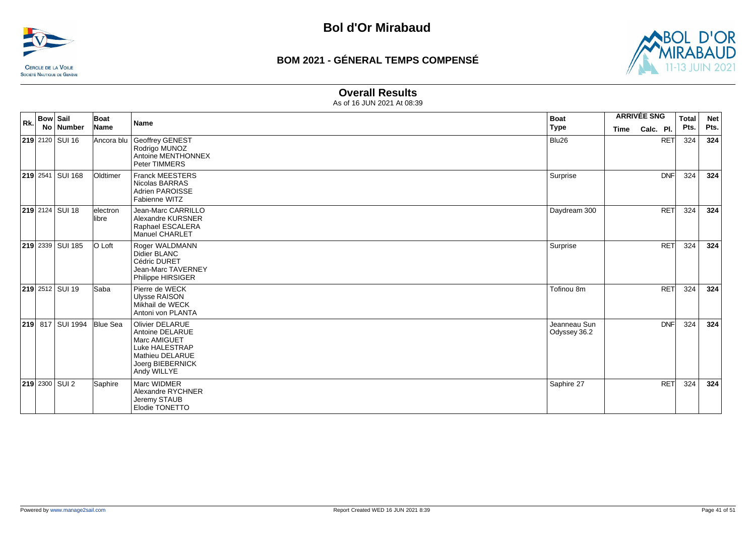![](_page_40_Picture_0.jpeg)

![](_page_40_Picture_3.jpeg)

### **Overall Results**

| Rk. | <b>Bow Sail</b> | No Number              | Boat<br>Name       | Name                                                                                                                              | <b>Boat</b><br><b>Type</b>   | <b>ARRIVÉE SNG</b><br><b>Time</b> | Calc. Pl.  | <b>Total</b><br>Pts. | <b>Net</b><br>Pts. |
|-----|-----------------|------------------------|--------------------|-----------------------------------------------------------------------------------------------------------------------------------|------------------------------|-----------------------------------|------------|----------------------|--------------------|
|     |                 | 219 2120 SUI 16        | Ancora blu         | Geoffrey GENEST<br>Rodrigo MUNOZ<br>Antoine MENTHONNEX<br>Peter TIMMERS                                                           | Blu26                        |                                   | <b>RET</b> | 324                  | 324                |
|     |                 | 219 2541 SUI 168       | Oldtimer           | <b>Franck MEESTERS</b><br>Nicolas BARRAS<br>Adrien PAROISSE<br>Fabienne WITZ                                                      | Surprise                     |                                   | <b>DNF</b> | 324                  | 324                |
|     |                 | 219 2124 SUI 18        | electron<br>llibre | Jean-Marc CARRILLO<br>Alexandre KURSNER<br>Raphael ESCALERA<br><b>Manuel CHARLET</b>                                              | Daydream 300                 |                                   | <b>RET</b> | 324                  | 324                |
|     |                 | 219 2339 SUI 185       | O Loft             | Roger WALDMANN<br>Didier BLANC<br>Cédric DURET<br><b>Jean-Marc TAVERNEY</b><br>Philippe HIRSIGER                                  | Surprise                     |                                   | <b>RET</b> | 324                  | 324                |
|     |                 | <b>219</b> 2512 SUI 19 | Saba               | Pierre de WECK<br><b>Ulysse RAISON</b><br>Mikhail de WECK<br>Antoni von PLANTA                                                    | Tofinou 8m                   |                                   | <b>RET</b> | 324                  | 324                |
|     |                 | 219 817 SUI 1994       | <b>Blue Sea</b>    | <b>Olivier DELARUE</b><br>Antoine DELARUE<br>Marc AMIGUET<br>Luke HALESTRAP<br>Mathieu DELARUE<br>Joerg BIEBERNICK<br>Andy WILLYE | Jeanneau Sun<br>Odyssey 36.2 |                                   | <b>DNF</b> | 324                  | 324                |
|     |                 | 219 2300 SUI 2         | Saphire            | Marc WIDMER<br>Alexandre RYCHNER<br>Jeremy STAUB<br>Elodie TONETTO                                                                | Saphire 27                   |                                   | <b>RET</b> | 324                  | 324                |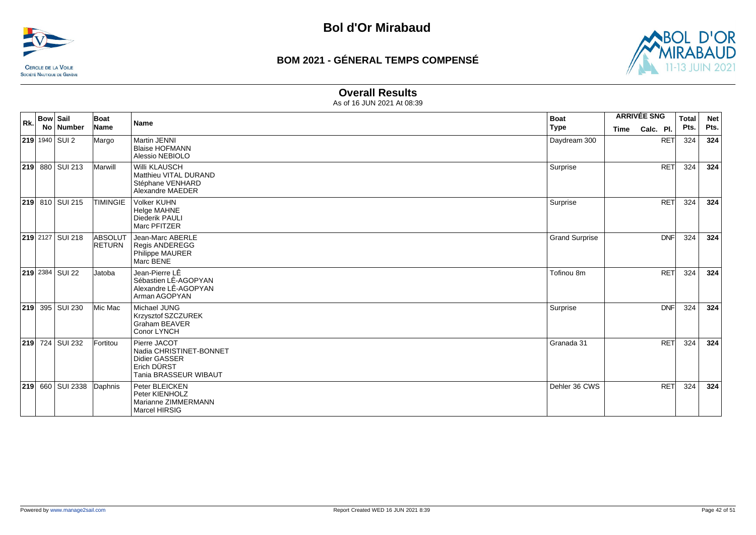![](_page_41_Picture_0.jpeg)

![](_page_41_Picture_3.jpeg)

### **Overall Results**

| Rk. | <b>Bow Sail</b> | No Number               | Boat<br>Name             | Name                                                                                             | <b>Boat</b><br><b>Type</b> | <b>ARRIVÉE SNG</b><br>Calc. Pl.<br><b>Time</b> |            | <b>Total</b><br>Pts. | <b>Net</b><br>Pts. |
|-----|-----------------|-------------------------|--------------------------|--------------------------------------------------------------------------------------------------|----------------------------|------------------------------------------------|------------|----------------------|--------------------|
|     |                 | <b>219</b> 1940 SUI 2   | Margo                    | Martin JENNI<br><b>Blaise HOFMANN</b><br>Alessio NEBIOLO                                         | Daydream 300               |                                                | <b>RET</b> | 324                  | 324                |
|     |                 | 219 880 SUI 213         | Marwill                  | <b>Willi KLAUSCH</b><br>Matthieu VITAL DURAND<br>Stéphane VENHARD<br>Alexandre MAEDER            | Surprise                   |                                                | <b>RET</b> | 324                  | 324                |
|     |                 | 219 810 SUI 215         | <b>TIMINGIE</b>          | <b>Volker KUHN</b><br><b>Helge MAHNE</b><br>Diederik PAULI<br>Marc PFITZER                       | Surprise                   |                                                | <b>RET</b> | 324                  | 324                |
|     |                 | 219 2127 SUI 218        | ABSOLUT<br><b>RETURN</b> | Jean-Marc ABERLE<br><b>Regis ANDEREGG</b><br>Philippe MAURER<br>Marc BENE                        | <b>Grand Surprise</b>      |                                                | <b>DNF</b> | 324                  | 324                |
|     |                 | 219 2384 SUI 22         | Jatoba                   | Jean-Pierre LÊ<br>Sébastien LÊ-AGOPYAN<br>Alexandre LÊ-AGOPYAN<br>Arman AGOPYAN                  | Tofinou 8m                 |                                                | <b>RET</b> | 324                  | 324                |
| 219 |                 | 395 SUI 230             | Mic Mac                  | Michael JUNG<br>Krzysztof SZCZUREK<br><b>Graham BEAVER</b><br>Conor LYNCH                        | Surprise                   |                                                | <b>DNF</b> | 324                  | 324                |
|     |                 | 219 724 SUI 232         | Fortitou                 | Pierre JACOT<br>Nadia CHRISTINET-BONNET<br>Didier GASSER<br>Erich DÜRST<br>Tania BRASSEUR WIBAUT | Granada 31                 |                                                | <b>RET</b> | 324                  | 324                |
|     |                 | <b>219</b> 660 SUI 2338 | Daphnis                  | Peter BLEICKEN<br>Peter KIENHOLZ<br>Marianne ZIMMERMANN<br>Marcel HIRSIG                         | Dehler 36 CWS              |                                                | <b>RET</b> | 324                  | 324                |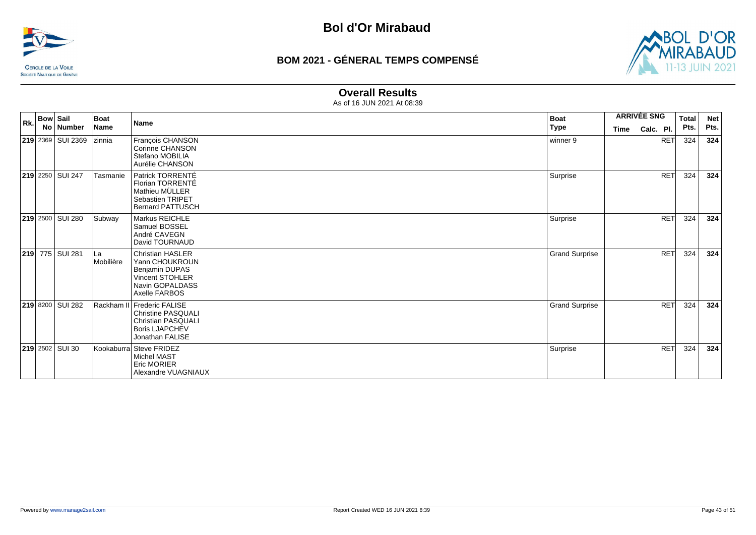![](_page_42_Picture_0.jpeg)

![](_page_42_Picture_3.jpeg)

### **Overall Results**

| Rk. | <b>Bow Sail</b> | No Number              | Boat<br>Name     | Name                                                                                                                      | Boat<br>∣ Type        | <b>ARRIVÉE SNG</b><br>Time | Calc. Pl.  | <b>Total</b><br>Pts. | <b>Net</b><br>Pts. |
|-----|-----------------|------------------------|------------------|---------------------------------------------------------------------------------------------------------------------------|-----------------------|----------------------------|------------|----------------------|--------------------|
|     |                 | 219 2369 SUI 2369      | zinnia           | François CHANSON<br>Corinne CHANSON<br>Stefano MOBILIA<br>Aurélie CHANSON                                                 | winner 9              |                            | <b>RET</b> | 324                  | 324                |
|     |                 | 219 2250 SUI 247       | Tasmanie         | Patrick TORRENTÉ<br>Florian TORRENTÉ<br>Mathieu MÜLLER<br>Sebastien TRIPET<br><b>Bernard PATTUSCH</b>                     | Surprise              |                            | <b>RET</b> | 324                  | 324                |
|     |                 | 219 2500 SUI 280       | Subway           | <b>Markus REICHLE</b><br>Samuel BOSSEL<br>André CAVEGN<br>David TOURNAUD                                                  | Surprise              |                            | <b>RET</b> | 324                  | 324                |
|     |                 | 219 775 SUI 281        | ∣La<br>Mobilière | <b>Christian HASLER</b><br>Yann CHOUKROUN<br>Benjamin DUPAS<br>Vincent STOHLER<br>Navin GOPALDASS<br>Axelle FARBOS        | <b>Grand Surprise</b> |                            | <b>RET</b> | 324                  | 324                |
|     |                 | 219 8200 SUI 282       |                  | Rackham II Frederic FALISE<br><b>Christine PASQUALI</b><br>Christian PASQUALI<br><b>Boris LJAPCHEV</b><br>Jonathan FALISE | <b>Grand Surprise</b> |                            | <b>RET</b> | 324                  | 324                |
|     |                 | <b>219</b> 2502 SUI 30 |                  | Kookaburra Steve FRIDEZ<br><b>Michel MAST</b><br><b>Eric MORIER</b><br>Alexandre VUAGNIAUX                                | Surprise              |                            | <b>RET</b> | 324                  | 324                |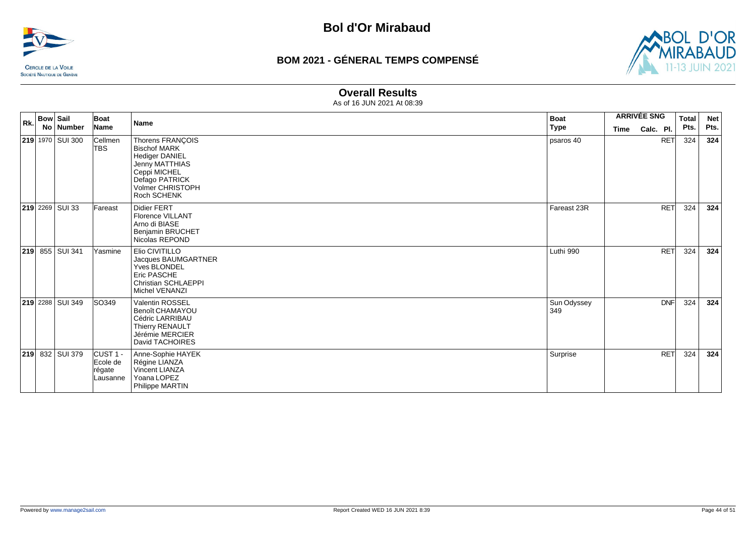![](_page_43_Picture_0.jpeg)

![](_page_43_Picture_3.jpeg)

### **Overall Results**

| Rk. | <b>Bow Sail</b> | No Number               | Boat<br>Name                                          | <b>Name</b>                                                                                                                                             | <b>Boat</b><br>Type | <b>ARRIVÉE SNG</b><br>Time | Calc. Pl.  | <b>Total</b><br>Pts. | <b>Net</b><br>Pts. |
|-----|-----------------|-------------------------|-------------------------------------------------------|---------------------------------------------------------------------------------------------------------------------------------------------------------|---------------------|----------------------------|------------|----------------------|--------------------|
|     |                 | 219 1970 SUI 300        | Cellmen<br><b>TBS</b>                                 | Thorens FRANÇOIS<br><b>Bischof MARK</b><br><b>Hediger DANIEL</b><br>Jenny MATTHIAS<br>Ceppi MICHEL<br>Defago PATRICK<br>Volmer CHRISTOPH<br>Roch SCHENK | psaros 40           |                            | <b>RET</b> | 324                  | 324                |
|     |                 | <b>219</b> 2269 SUI 33  | Fareast                                               | <b>Didier FERT</b><br><b>Florence VILLANT</b><br>Arno di BIASE<br><b>Benjamin BRUCHET</b><br>Nicolas REPOND                                             | Fareast 23R         |                            | RET        | 324                  | 324                |
|     |                 | 219 855 SUI 341         | Yasmine                                               | Elio CIVITILLO<br>Jacques BAUMGARTNER<br><b>Yves BLONDEL</b><br>Eric PASCHE<br><b>Christian SCHLAEPPI</b><br>Michel VENANZI                             | Luthi 990           |                            | <b>RET</b> | 324                  | 324                |
|     |                 | <b>219</b> 2288 SUI 349 | SO349                                                 | Valentin ROSSEL<br>Benoît CHAMAYOU<br>Cédric LARRIBAU<br>Thierry RENAULT<br>Jérémie MERCIER<br>David TACHOIRES                                          | Sun Odyssey<br>349  |                            | <b>DNF</b> | 324                  | 324                |
|     |                 | <b>219</b> 832 SUI 379  | CUST <sub>1</sub> -<br>Ecole de<br>régate<br>Lausanne | Anne-Sophie HAYEK<br>Régine LIANZA<br>Vincent LIANZA<br>Yoana LOPEZ<br>Philippe MARTIN                                                                  | Surprise            |                            | <b>RET</b> | 324                  | 324                |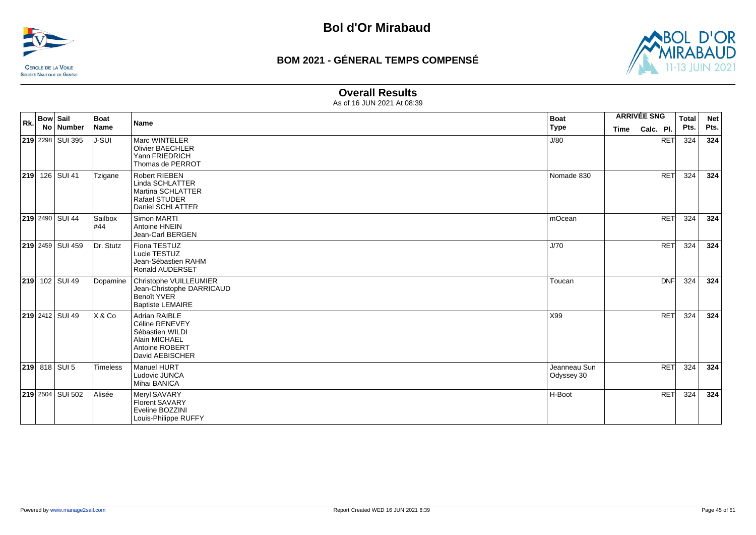![](_page_44_Picture_0.jpeg)

![](_page_44_Picture_3.jpeg)

### **Overall Results**

| Rk. | <b>Bow Sail</b> | No Number              | Boat<br>Name   | <b>Name</b>                                                                                              | <b>Boat</b>                | <b>ARRIVÉE SNG</b> |            | <b>Total</b> | <b>Net</b><br>Pts. |
|-----|-----------------|------------------------|----------------|----------------------------------------------------------------------------------------------------------|----------------------------|--------------------|------------|--------------|--------------------|
|     |                 |                        |                |                                                                                                          | Type                       | <b>Time</b>        | Calc. Pl.  | Pts.         |                    |
|     |                 | 219 2298 SUI 395       | IJ-SUI         | Marc WINTELER<br><b>Olivier BAECHLER</b><br>Yann FRIEDRICH<br>Thomas de PERROT                           | J/80                       |                    | <b>RET</b> | 324          | 324                |
|     |                 | <b>219</b> 126 SUI 41  | Tzigane        | Robert RIEBEN<br>Linda SCHLATTER<br>Martina SCHLATTER<br>Rafael STUDER<br>Daniel SCHLATTER               | Nomade 830                 |                    | <b>RET</b> | 324          | 324                |
|     |                 | <b>219</b> 2490 SUI 44 | Sailbox<br>#44 | Simon MARTI<br>Antoine HNEIN<br>Jean-Carl BERGEN                                                         | mOcean                     |                    | <b>RET</b> | 324          | 324                |
|     |                 | 219 2459 SUI 459       | Dr. Stutz      | Fiona TESTUZ<br>Lucie TESTUZ<br>Jean-Sébastien RAHM<br><b>Ronald AUDERSET</b>                            | J/70                       |                    | <b>RET</b> | 324          | 324                |
|     |                 | <b>219</b> 102 SUI 49  | Dopamine       | Christophe VUILLEUMIER<br>Jean-Christophe DARRICAUD<br><b>Benoît YVER</b><br><b>Baptiste LEMAIRE</b>     | Toucan                     |                    | <b>DNF</b> | 324          | 324                |
|     |                 | <b>219</b> 2412 SUI 49 | X & Co         | Adrian RAIBLE<br>Céline RENEVEY<br>Sébastien WILDI<br>Alain MICHAEL<br>Antoine ROBERT<br>David AEBISCHER | X99                        |                    | <b>RET</b> | 324          | 324                |
|     |                 | $219$ 818 SUI 5        | Timeless       | Manuel HURT<br>Ludovic JUNCA<br>Mihai BANICA                                                             | Jeanneau Sun<br>Odyssey 30 |                    | <b>RET</b> | 324          | 324                |
|     |                 | 219 2504 SUI 502       | Alisée         | Meryl SAVARY<br><b>Florent SAVARY</b><br>Eveline BOZZINI<br>Louis-Philippe RUFFY                         | H-Boot                     |                    | <b>RET</b> | 324          | 324                |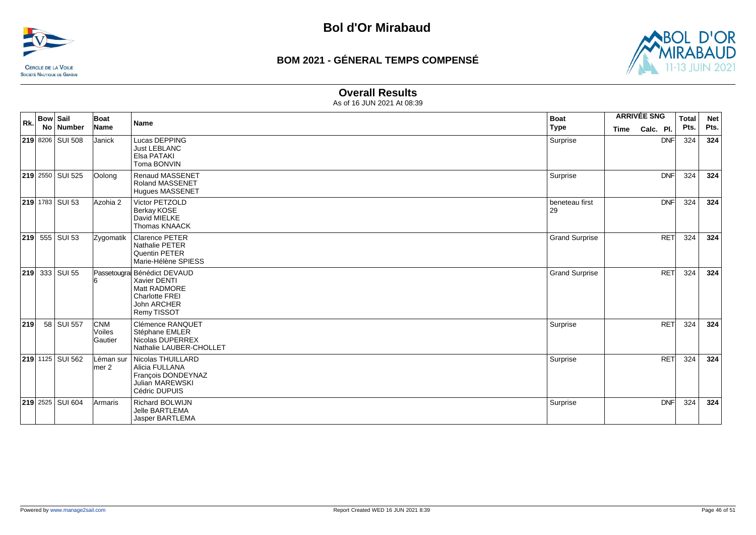![](_page_45_Picture_0.jpeg)

![](_page_45_Picture_3.jpeg)

### **Overall Results**

| Rk. | <b>Bow Sail</b> | No Number                 | Boat<br>Name                           | <b>Name</b>                                                                                                        | <b>Boat</b><br><b>Type</b> | <b>ARRIVÉE SNG</b><br><b>Time</b> | Calc. Pl.  | <b>Total</b><br>Pts. | <b>Net</b><br>Pts. |
|-----|-----------------|---------------------------|----------------------------------------|--------------------------------------------------------------------------------------------------------------------|----------------------------|-----------------------------------|------------|----------------------|--------------------|
|     |                 | 219 8206 SUI 508          | Janick                                 | Lucas DEPPING<br><b>Just LEBLANC</b><br>Elsa PATAKI<br>Toma BONVIN                                                 | Surprise                   |                                   | <b>DNF</b> | 324                  | 324                |
|     |                 | <b>219</b> 2550 SUI 525   | Oolong                                 | <b>Renaud MASSENET</b><br><b>Roland MASSENET</b><br><b>Hugues MASSENET</b>                                         | Surprise                   |                                   | <b>DNF</b> | 324                  | 324                |
|     |                 | <b>219</b> 1783 SUI 53    | Azohia 2                               | Victor PETZOLD<br>Berkay KOSE<br>David MIELKE<br><b>Thomas KNAACK</b>                                              | beneteau first<br>29       |                                   | <b>DNF</b> | 324                  | 324                |
|     |                 | <b>219</b> 555 SUI 53     | Zygomatik                              | <b>Clarence PETER</b><br>Nathalie PETER<br>Quentin PETER<br>Marie-Hélène SPIESS                                    | <b>Grand Surprise</b>      |                                   | <b>RET</b> | 324                  | 324                |
| 219 |                 | 333 SUI 55                |                                        | Passetougra Bénédict DEVAUD<br>Xavier DENTI<br>Matt RADMORE<br><b>Charlotte FREI</b><br>John ARCHER<br>Remy TISSOT | <b>Grand Surprise</b>      |                                   | <b>RET</b> | 324                  | 324                |
| 219 |                 | 58 SUI 557                | <b>CNM</b><br><b>Voiles</b><br>Gautier | Clémence RANQUET<br>Stéphane EMLER<br>Nicolas DUPERREX<br>Nathalie LAUBER-CHOLLET                                  | Surprise                   |                                   | <b>RET</b> | 324                  | 324                |
|     |                 | 219 1125 SUI 562          | ∟éman sur<br>lmer 2                    | Nicolas THUILLARD<br>Alicia FULLANA<br>François DONDEYNAZ<br><b>Julian MAREWSKI</b><br>Cédric DUPUIS               | Surprise                   |                                   | <b>RET</b> | 324                  | 324                |
|     |                 | <b>219</b> 2525   SUI 604 | Armaris                                | <b>Richard BOLWIJN</b><br>Jelle BARTLEMA<br>Jasper BARTLEMA                                                        | Surprise                   |                                   | <b>DNF</b> | 324                  | 324                |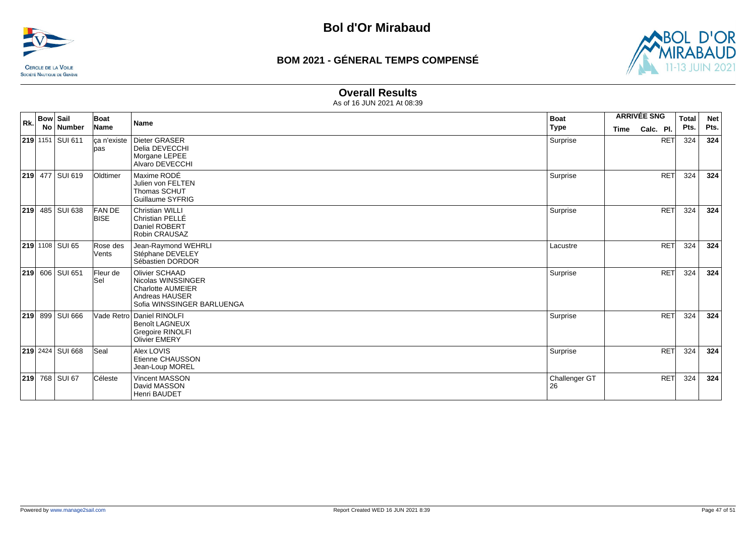![](_page_46_Picture_0.jpeg)

![](_page_46_Picture_3.jpeg)

### **Overall Results**

| Rk. | <b>Bow Sail</b> |                  | Boat                        | <b>Name</b>                                                                                                      | <b>Boat</b>         | <b>ARRIVÉE SNG</b> |            | <b>Total</b> | <b>Net</b> |
|-----|-----------------|------------------|-----------------------------|------------------------------------------------------------------------------------------------------------------|---------------------|--------------------|------------|--------------|------------|
|     | <b>No</b>       | <b>Number</b>    | Name                        |                                                                                                                  | <b>Type</b>         | <b>Time</b>        | Calc. Pl.  | Pts.         | Pts.       |
|     |                 | 219 1151 SUI 611 | ca n'existe<br>pas          | Dieter GRASER<br>Delia DEVECCHI<br>Morgane LEPEE<br>Alvaro DEVECCHI                                              | Surprise            |                    | <b>RET</b> | 324          | 324        |
|     |                 | 219 477 SUI 619  | Oldtimer                    | Maxime RODÉ<br>Julien von FELTEN<br>Thomas SCHUT<br>Guillaume SYFRIG                                             | Surprise            |                    | <b>RET</b> | 324          | 324        |
|     |                 | 219 485 SUI 638  | <b>FANDE</b><br><b>BISE</b> | <b>Christian WILLI</b><br>Christian PELLÉ<br>Daniel ROBERT<br>Robin CRAUSAZ                                      | Surprise            |                    | RET        | 324          | 324        |
|     |                 | 219 1108 SUI 65  | Rose des<br>Vents           | Jean-Raymond WEHRLI<br>Stéphane DEVELEY<br>Sébastien DORDOR                                                      | Lacustre            |                    | <b>RET</b> | 324          | 324        |
|     |                 | 219 606 SUI 651  | Fleur de<br>Sel             | Olivier SCHAAD<br>Nicolas WINSSINGER<br><b>Charlotte AUMEIER</b><br>Andreas HAUSER<br>Sofia WINSSINGER BARLUENGA | Surprise            |                    | <b>RET</b> | 324          | 324        |
| 219 |                 | 899 SUI 666      |                             | Vade Retro Daniel RINOLFI<br><b>Benoît LAGNEUX</b><br><b>Gregoire RINOLFI</b><br><b>Olivier EMERY</b>            | Surprise            |                    | <b>RET</b> | 324          | 324        |
|     |                 | 219 2424 SUI 668 | Seal                        | Alex LOVIS<br>Etienne CHAUSSON<br>Jean-Loup MOREL                                                                | Surprise            |                    | <b>RET</b> | 324          | 324        |
|     |                 | 219 768 SUI 67   | Céleste                     | <b>Vincent MASSON</b><br>David MASSON<br>Henri BAUDET                                                            | Challenger GT<br>26 |                    | <b>RET</b> | 324          | 324        |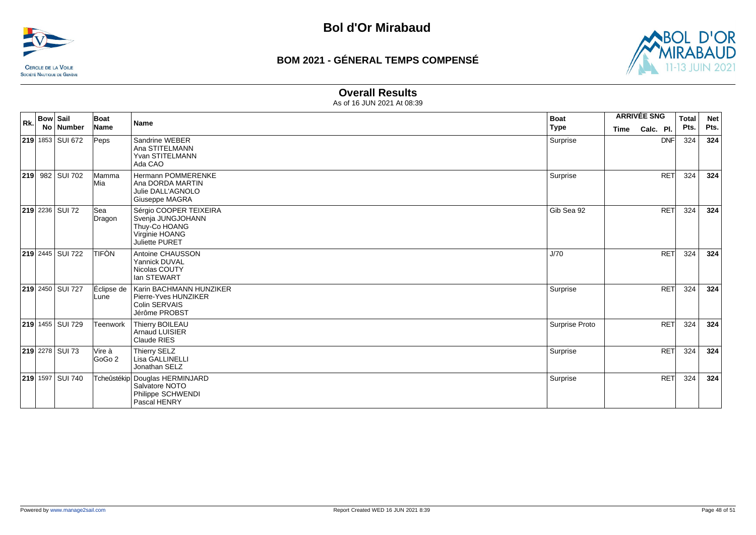![](_page_47_Picture_0.jpeg)

![](_page_47_Picture_3.jpeg)

### **Overall Results**

| Rk. | <b>Bow Sail</b> | No   Number             | Boat<br>Name         | <b>Name</b>                                                                                      | <b>Boat</b><br><b>Type</b> | <b>ARRIVÉE SNG</b><br><b>Time</b> | Calc. Pl.  | <b>Total</b><br>Pts. | <b>Net</b><br>Pts. |
|-----|-----------------|-------------------------|----------------------|--------------------------------------------------------------------------------------------------|----------------------------|-----------------------------------|------------|----------------------|--------------------|
|     |                 | 219 1853 SUI 672        | Peps                 | Sandrine WEBER<br>Ana STITELMANN<br>Yvan STITELMANN<br>Ada CAO                                   | Surprise                   |                                   | <b>DNF</b> | 324                  | 324                |
|     |                 | 219 982 SUI 702         | Mamma<br>Mia         | Hermann POMMERENKE<br>Ana DORDA MARTIN<br>Julie DALL'AGNOLO<br><b>Giuseppe MAGRA</b>             | Surprise                   |                                   | <b>RET</b> | 324                  | 324                |
|     |                 | <b>219</b> 2236 SUI 72  | <b>Sea</b><br>Dragon | Sérgio COOPER TEIXEIRA<br>Svenja JUNGJOHANN<br>Thuy-Co HOANG<br>Virginie HOANG<br>Juliette PURET | Gib Sea 92                 |                                   | <b>RET</b> | 324                  | 324                |
|     |                 | <b>219 2445 SUI 722</b> | <b>TIFÒN</b>         | Antoine CHAUSSON<br>Yannick DUVAL<br>Nicolas COUTY<br>lan STEWART                                | J/70                       |                                   | <b>RET</b> | 324                  | 324                |
|     |                 | 219 2450 SUI 727        | Éclipse de<br>Lune   | Karin BACHMANN HUNZIKER<br>Pierre-Yves HUNZIKER<br><b>Colin SERVAIS</b><br>Jérôme PROBST         | Surprise                   |                                   | <b>RET</b> | 324                  | 324                |
|     |                 | 219 1455 SUI 729        | Teenwork             | Thierry BOILEAU<br>Arnaud LUISIER<br>Claude RIES                                                 | Surprise Proto             |                                   | <b>RET</b> | 324                  | 324                |
|     |                 | <b>219</b> 2278 SUI 73  | Vire à<br>GoGo 2     | Thierry SELZ<br>Lisa GALLINELLI<br>Jonathan SELZ                                                 | Surprise                   |                                   | <b>RET</b> | 324                  | 324                |
|     |                 | 219 1597 SUI 740        |                      | Tcheûstékip Douglas HERMINJARD<br>Salvatore NOTO<br>Philippe SCHWENDI<br>Pascal HENRY            | Surprise                   |                                   | <b>RET</b> | 324                  | 324                |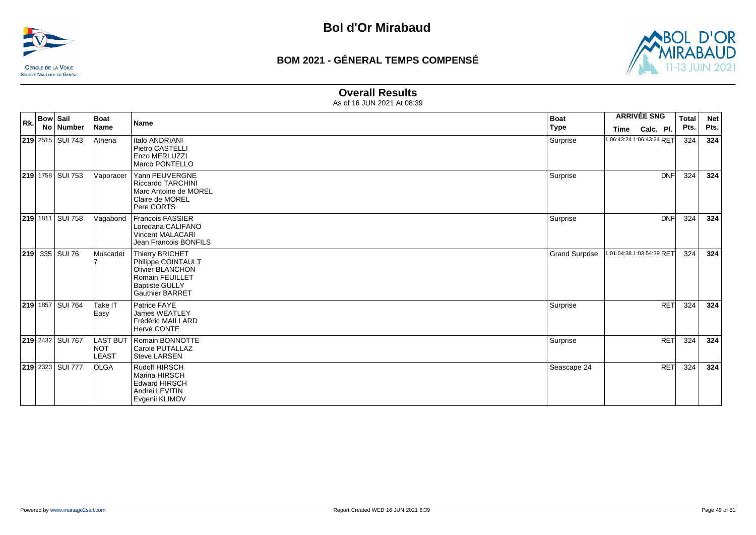![](_page_48_Picture_0.jpeg)

![](_page_48_Picture_3.jpeg)

### **Overall Results**

| Rk. | <b>Bow Sail</b><br>No Number | <b>Boat</b><br>Name              | Name                                                                                                                                          | <b>Boat</b><br><b>Type</b> | <b>ARRIVÉE SNG</b><br>Calc. Pl.<br>Time | <b>Total</b><br>Pts. | <b>Net</b><br>Pts. |
|-----|------------------------------|----------------------------------|-----------------------------------------------------------------------------------------------------------------------------------------------|----------------------------|-----------------------------------------|----------------------|--------------------|
|     | <b>219</b> 2515 SUI 743      | Athena                           | Italo ANDRIANI<br>Pietro CASTELLI<br>Enzo MERLUZZI<br>Marco PONTELLO                                                                          | Surprise                   | 1:06:43:24 1:06:43:24 RET               | 324                  | 324                |
|     | <b>219</b> 1758 SUI 753      | Vaporacer                        | Yann PEUVERGNE<br><b>Riccardo TARCHINI</b><br>Marc Antoine de MOREL<br>Claire de MOREL<br>Pere CORTS                                          | Surprise                   | <b>DNF</b>                              | 324                  | 324                |
|     | <b>219</b> 1811 SUI 758      | Vagabond                         | Francois FASSIER<br>Loredana CALIFANO<br><b>Vincent MALACARI</b><br>Jean Francois BONFILS                                                     | Surprise                   | <b>DNF</b>                              | 324                  | 324                |
| 219 | 335 SUI 76                   | Muscadet                         | Thierry BRICHET<br>Philippe COINTAULT<br><b>Olivier BLANCHON</b><br><b>Romain FEUILLET</b><br><b>Baptiste GULLY</b><br><b>Gauthier BARRET</b> | <b>Grand Surprise</b>      | 1:01:04:38 1:03:54:39 RET               | 324                  | 324                |
|     | <b>219 1857 SUI 764</b>      | Take IT<br>Easy                  | Patrice FAYE<br><b>James WEATLEY</b><br>Frédéric MAILLARD<br>Hervé CONTE                                                                      | Surprise                   | <b>RET</b>                              | 324                  | 324                |
|     | <b>219</b> 2432 SUI 767      | LAST BUT<br><b>INOT</b><br>LEAST | Romain BONNOTTE<br>Carole PUTALLAZ<br><b>Steve LARSEN</b>                                                                                     | Surprise                   | <b>RET</b>                              | 324                  | 324                |
|     | <b>219</b> 2323 SUI 777      | <b>OLGA</b>                      | Rudolf HIRSCH<br>Marina HIRSCH<br><b>Edward HIRSCH</b><br>Andrei LEVITIN<br>Evgenii KLIMOV                                                    | Seascape 24                | <b>RET</b>                              | 324                  | 324                |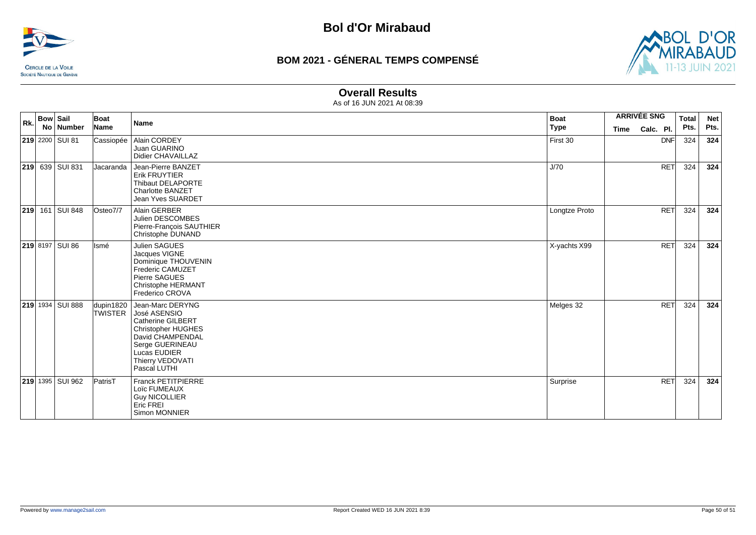![](_page_49_Picture_0.jpeg)

![](_page_49_Picture_3.jpeg)

### **Overall Results**

| Rk. | <b>Bow Sail</b> | No Number              | Boat<br>Name                | <b>Name</b>                                                                                                                                                                          | <b>Boat</b><br><b>Type</b> | <b>Time</b> | <b>ARRIVÉE SNG</b><br>Calc. Pl. | <b>Total</b><br>Pts. | <b>Net</b><br>Pts. |
|-----|-----------------|------------------------|-----------------------------|--------------------------------------------------------------------------------------------------------------------------------------------------------------------------------------|----------------------------|-------------|---------------------------------|----------------------|--------------------|
|     |                 | 219 2200 SUI 81        | Cassiopée                   | Alain CORDEY<br>Juan GUARINO<br>Didier CHAVAILLAZ                                                                                                                                    | First 30                   |             | <b>DNF</b>                      | 324                  | 324                |
|     |                 | <b>219</b> 639 SUI 831 | Jacaranda                   | Jean-Pierre BANZET<br><b>Erik FRUYTIER</b><br>Thibaut DELAPORTE<br><b>Charlotte BANZET</b><br><b>Jean Yves SUARDET</b>                                                               | J/70                       |             | <b>RET</b>                      | 324                  | 324                |
|     |                 | <b>219</b> 161 SUI 848 | Osteo7/7                    | Alain GERBER<br>Julien DESCOMBES<br>Pierre-François SAUTHIER<br>Christophe DUNAND                                                                                                    | Longtze Proto              |             | <b>RET</b>                      | 324                  | 324                |
|     |                 | 219 8197 SUI 86        | Ismé                        | Julien SAGUES<br>Jacques VIGNE<br>Dominique THOUVENIN<br><b>Frederic CAMUZET</b><br>Pierre SAGUES<br><b>Christophe HERMANT</b><br>Frederico CROVA                                    | X-yachts X99               |             | <b>RET</b>                      | 324                  | 324                |
|     |                 | 219 1934 SUI 888       | dupin1820<br><b>TWISTER</b> | Jean-Marc DERYNG<br>José ASENSIO<br><b>Catherine GILBERT</b><br><b>Christopher HUGHES</b><br>David CHAMPENDAL<br>Serge GUERINEAU<br>Lucas EUDIER<br>Thierry VEDOVATI<br>Pascal LUTHI | Melges 32                  |             | <b>RET</b>                      | 324                  | 324                |
|     |                 | 219 1395 SUI 962       | PatrisT                     | <b>Franck PETITPIERRE</b><br>Loïc FUMEAUX<br><b>Guy NICOLLIER</b><br>Eric FREI<br>Simon MONNIER                                                                                      | Surprise                   |             | <b>RET</b>                      | 324                  | 324                |